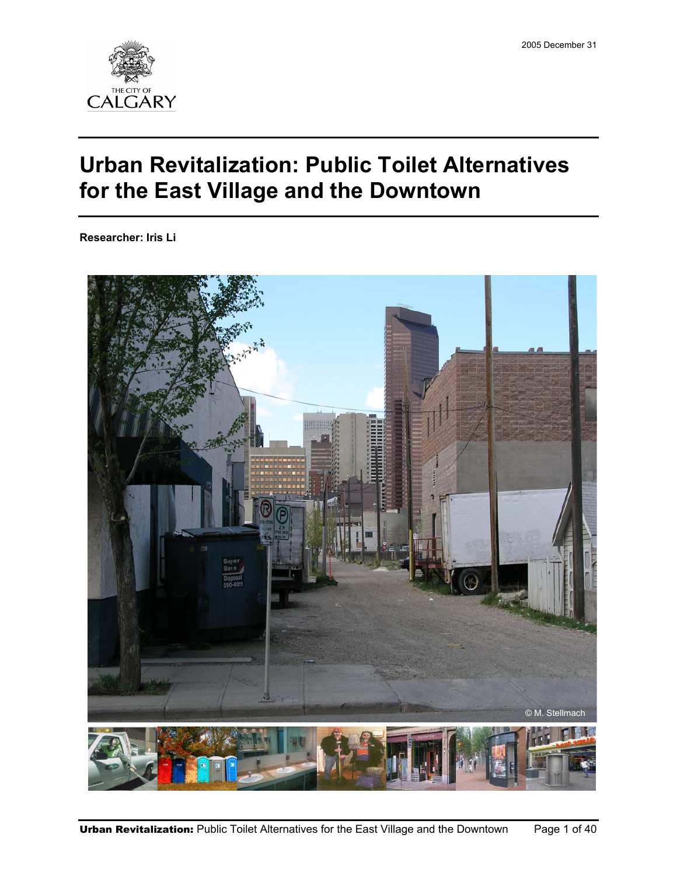

# **Urban Revitalization: Public Toilet Alternatives for the East Village and the Downtown**

**Researcher: Iris Li** 

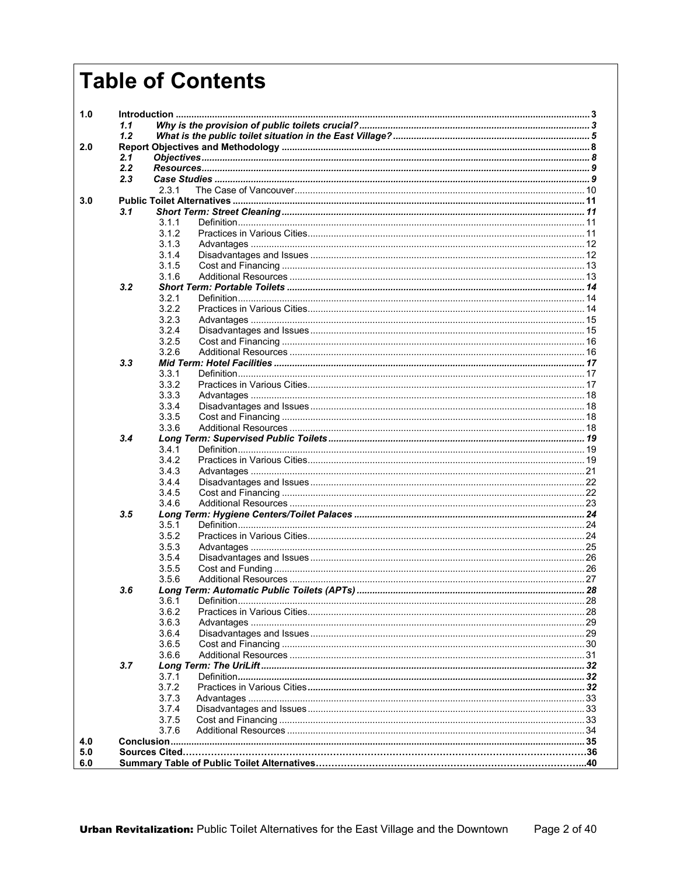# **Table of Contents**

| 1.0 |     |                |             |      |  |  |  |  |  |
|-----|-----|----------------|-------------|------|--|--|--|--|--|
|     | 1.1 |                |             |      |  |  |  |  |  |
|     | 1.2 |                |             |      |  |  |  |  |  |
| 2.0 |     |                |             |      |  |  |  |  |  |
|     | 2.1 |                |             |      |  |  |  |  |  |
|     | 2.2 |                |             |      |  |  |  |  |  |
|     | 2.3 |                |             |      |  |  |  |  |  |
|     |     | 2.3.1          |             |      |  |  |  |  |  |
| 3.0 |     |                |             |      |  |  |  |  |  |
|     | 3.1 |                |             |      |  |  |  |  |  |
|     |     | 3.1.1          |             |      |  |  |  |  |  |
|     |     | 3.1.2          |             |      |  |  |  |  |  |
|     |     | 3.1.3          |             |      |  |  |  |  |  |
|     |     | 3.1.4<br>3.1.5 |             |      |  |  |  |  |  |
|     |     | 3.1.6          |             |      |  |  |  |  |  |
|     | 3.2 |                |             |      |  |  |  |  |  |
|     |     | 3.2.1          |             |      |  |  |  |  |  |
|     |     | 3.2.2          |             |      |  |  |  |  |  |
|     |     | 3.2.3          |             |      |  |  |  |  |  |
|     |     | 3.2.4          |             |      |  |  |  |  |  |
|     |     | 3.2.5          |             |      |  |  |  |  |  |
|     |     | 3.26           |             |      |  |  |  |  |  |
|     | 3.3 |                |             |      |  |  |  |  |  |
|     |     | 3.3.1          |             |      |  |  |  |  |  |
|     |     | 3.3.2          |             |      |  |  |  |  |  |
|     |     | 3.3.3          |             |      |  |  |  |  |  |
|     |     | 3.3.4          |             |      |  |  |  |  |  |
|     |     | 3.3.5          |             |      |  |  |  |  |  |
|     |     | 3.3.6          |             |      |  |  |  |  |  |
|     | 3.4 |                |             |      |  |  |  |  |  |
|     |     | 3.4.1          |             |      |  |  |  |  |  |
|     |     | 3.4.2          |             |      |  |  |  |  |  |
|     |     | 3.4.3          |             |      |  |  |  |  |  |
|     |     | 3.4.4          |             |      |  |  |  |  |  |
|     |     | 3.4.5          |             |      |  |  |  |  |  |
|     |     | 3.4.6          |             |      |  |  |  |  |  |
|     | 3.5 |                |             |      |  |  |  |  |  |
|     |     | 3.5.1          |             |      |  |  |  |  |  |
|     |     | 3.5.2          |             |      |  |  |  |  |  |
|     |     | 3.5.3          |             |      |  |  |  |  |  |
|     |     | 3.5.4          |             |      |  |  |  |  |  |
|     |     | 3.5.5          |             |      |  |  |  |  |  |
|     |     | 3.5.6          |             |      |  |  |  |  |  |
|     | 3.6 |                |             |      |  |  |  |  |  |
|     |     | 3.6.1          | Definition. | . 28 |  |  |  |  |  |
|     |     | 3.6.2          |             |      |  |  |  |  |  |
|     |     | 3.6.3          |             |      |  |  |  |  |  |
|     |     | 3.6.4          |             |      |  |  |  |  |  |
|     |     | 3.6.5          |             |      |  |  |  |  |  |
|     |     | 3.6.6          |             |      |  |  |  |  |  |
|     | 3.7 |                |             |      |  |  |  |  |  |
|     |     | 3.7.1          |             |      |  |  |  |  |  |
|     |     | 3.7.2          |             |      |  |  |  |  |  |
|     |     | 3.7.3          |             |      |  |  |  |  |  |
|     |     | 3.7.4          |             |      |  |  |  |  |  |
|     |     | 3.7.5          |             |      |  |  |  |  |  |
|     |     | 3.7.6          |             |      |  |  |  |  |  |
| 4.0 |     |                |             |      |  |  |  |  |  |
| 5.0 |     |                |             |      |  |  |  |  |  |
| 6.0 |     |                |             |      |  |  |  |  |  |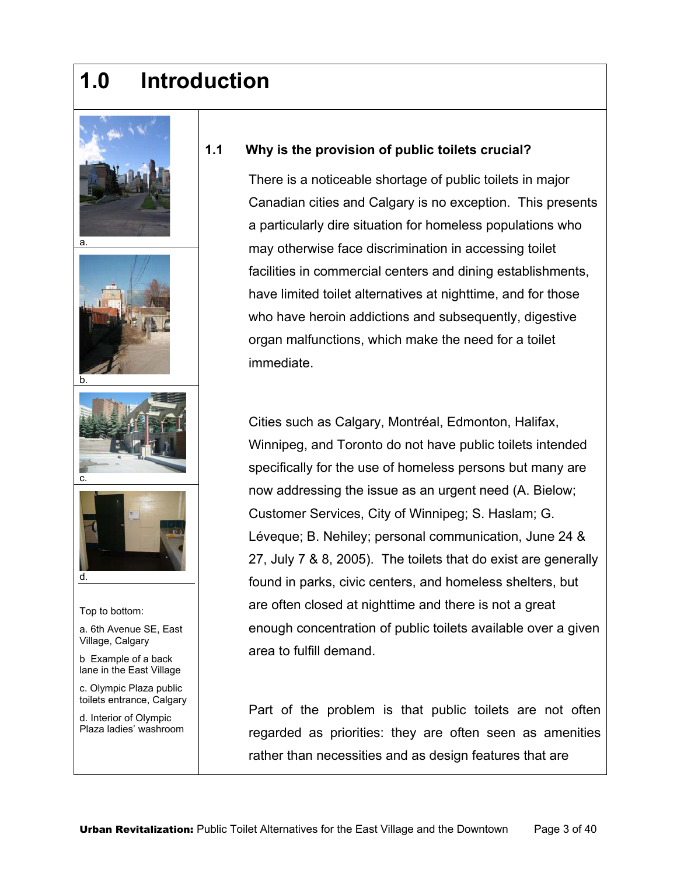# **1.0 Introduction**









- Top to bottom:
- a. 6th Avenue SE, East Village, Calgary
- b Example of a back lane in the East Village
- c. Olympic Plaza public toilets entrance, Calgary
- d. Interior of Olympic Plaza ladies' washroom

#### **1.1 Why is the provision of public toilets crucial?**

There is a noticeable shortage of public toilets in major Canadian cities and Calgary is no exception. This presents a particularly dire situation for homeless populations who may otherwise face discrimination in accessing toilet facilities in commercial centers and dining establishments, have limited toilet alternatives at nighttime, and for those who have heroin addictions and subsequently, digestive organ malfunctions, which make the need for a toilet immediate.

Cities such as Calgary, Montréal, Edmonton, Halifax, Winnipeg, and Toronto do not have public toilets intended specifically for the use of homeless persons but many are now addressing the issue as an urgent need (A. Bielow; Customer Services, City of Winnipeg; S. Haslam; G. Léveque; B. Nehiley; personal communication, June 24 & 27, July 7 & 8, 2005). The toilets that do exist are generally found in parks, civic centers, and homeless shelters, but are often closed at nighttime and there is not a great enough concentration of public toilets available over a given area to fulfill demand.

Part of the problem is that public toilets are not often regarded as priorities: they are often seen as amenities rather than necessities and as design features that are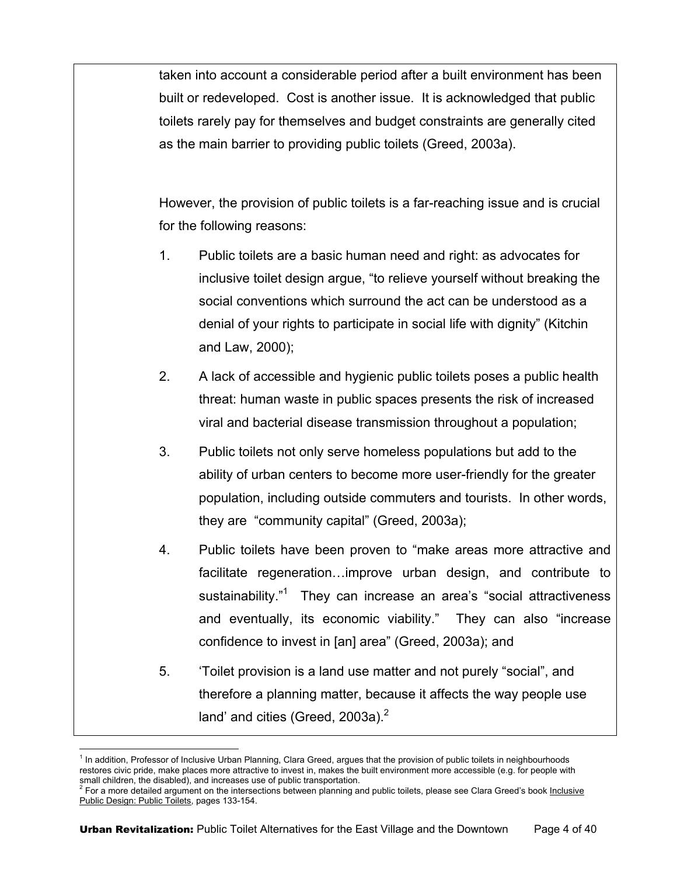taken into account a considerable period after a built environment has been built or redeveloped. Cost is another issue. It is acknowledged that public toilets rarely pay for themselves and budget constraints are generally cited as the main barrier to providing public toilets (Greed, 2003a).

However, the provision of public toilets is a far-reaching issue and is crucial for the following reasons:

- 1. Public toilets are a basic human need and right: as advocates for inclusive toilet design argue, "to relieve yourself without breaking the social conventions which surround the act can be understood as a denial of your rights to participate in social life with dignity" (Kitchin and Law, 2000);
- 2. A lack of accessible and hygienic public toilets poses a public health threat: human waste in public spaces presents the risk of increased viral and bacterial disease transmission throughout a population;
- 3. Public toilets not only serve homeless populations but add to the ability of urban centers to become more user-friendly for the greater population, including outside commuters and tourists. In other words, they are "community capital" (Greed, 2003a);
- 4. Public toilets have been proven to "make areas more attractive and facilitate regeneration…improve urban design, and contribute to sustainability."<sup>1</sup> They can increase an area's "social attractiveness and eventually, its economic viability." They can also "increase confidence to invest in [an] area" (Greed, 2003a); and
- 5. 'Toilet provision is a land use matter and not purely "social", and therefore a planning matter, because it affects the way people use land' and cities (Greed, 2003a).<sup>2</sup>

 1 In addition, Professor of Inclusive Urban Planning, Clara Greed, argues that the provision of public toilets in neighbourhoods restores civic pride, make places more attractive to invest in, makes the built environment more accessible (e.g. for people with

small children, the disabled), and increases use of public transportation.<br><sup>2</sup> For a more detailed argument on the intersections between planning and public toilets, please see Clara Greed's book <u>Inclusive</u> Public Design: Public Toilets, pages 133-154.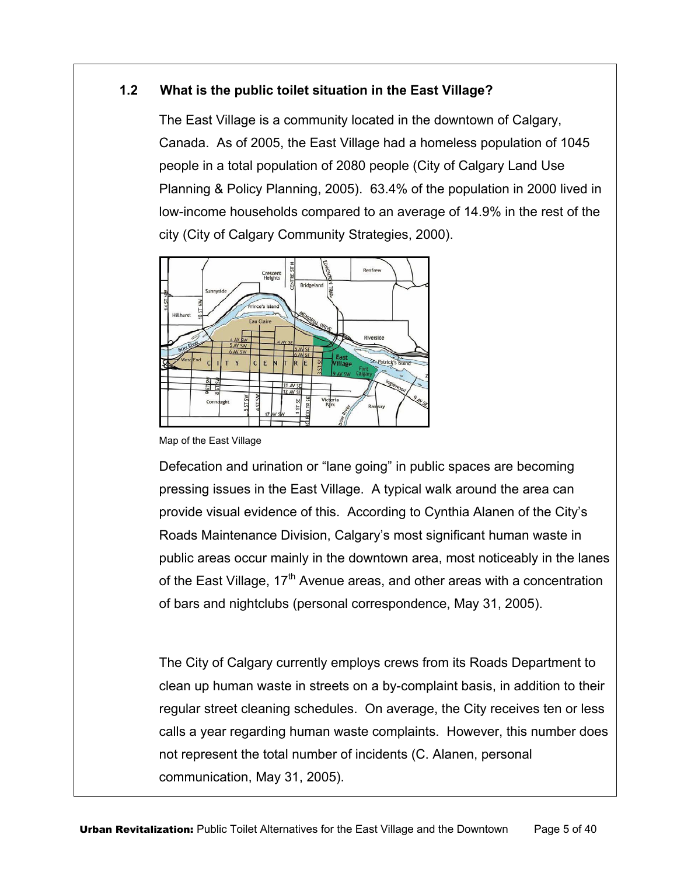#### **1.2 What is the public toilet situation in the East Village?**

The East Village is a community located in the downtown of Calgary, Canada. As of 2005, the East Village had a homeless population of 1045 people in a total population of 2080 people (City of Calgary Land Use Planning & Policy Planning, 2005). 63.4% of the population in 2000 lived in low-income households compared to an average of 14.9% in the rest of the city (City of Calgary Community Strategies, 2000).



Map of the East Village

Defecation and urination or "lane going" in public spaces are becoming pressing issues in the East Village. A typical walk around the area can provide visual evidence of this. According to Cynthia Alanen of the City's Roads Maintenance Division, Calgary's most significant human waste in public areas occur mainly in the downtown area, most noticeably in the lanes of the East Village,  $17<sup>th</sup>$  Avenue areas, and other areas with a concentration of bars and nightclubs (personal correspondence, May 31, 2005).

The City of Calgary currently employs crews from its Roads Department to clean up human waste in streets on a by-complaint basis, in addition to their regular street cleaning schedules. On average, the City receives ten or less calls a year regarding human waste complaints. However, this number does not represent the total number of incidents (C. Alanen, personal communication, May 31, 2005).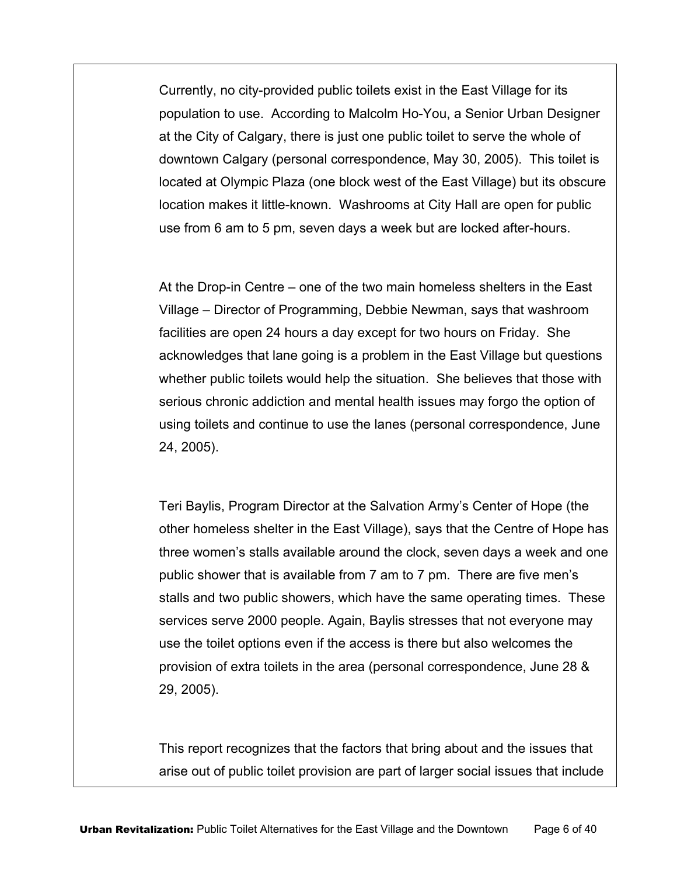Currently, no city-provided public toilets exist in the East Village for its population to use. According to Malcolm Ho-You, a Senior Urban Designer at the City of Calgary, there is just one public toilet to serve the whole of downtown Calgary (personal correspondence, May 30, 2005). This toilet is located at Olympic Plaza (one block west of the East Village) but its obscure location makes it little-known. Washrooms at City Hall are open for public use from 6 am to 5 pm, seven days a week but are locked after-hours.

At the Drop-in Centre – one of the two main homeless shelters in the East Village – Director of Programming, Debbie Newman, says that washroom facilities are open 24 hours a day except for two hours on Friday. She acknowledges that lane going is a problem in the East Village but questions whether public toilets would help the situation. She believes that those with serious chronic addiction and mental health issues may forgo the option of using toilets and continue to use the lanes (personal correspondence, June 24, 2005).

Teri Baylis, Program Director at the Salvation Army's Center of Hope (the other homeless shelter in the East Village), says that the Centre of Hope has three women's stalls available around the clock, seven days a week and one public shower that is available from 7 am to 7 pm. There are five men's stalls and two public showers, which have the same operating times. These services serve 2000 people. Again, Baylis stresses that not everyone may use the toilet options even if the access is there but also welcomes the provision of extra toilets in the area (personal correspondence, June 28 & 29, 2005).

This report recognizes that the factors that bring about and the issues that arise out of public toilet provision are part of larger social issues that include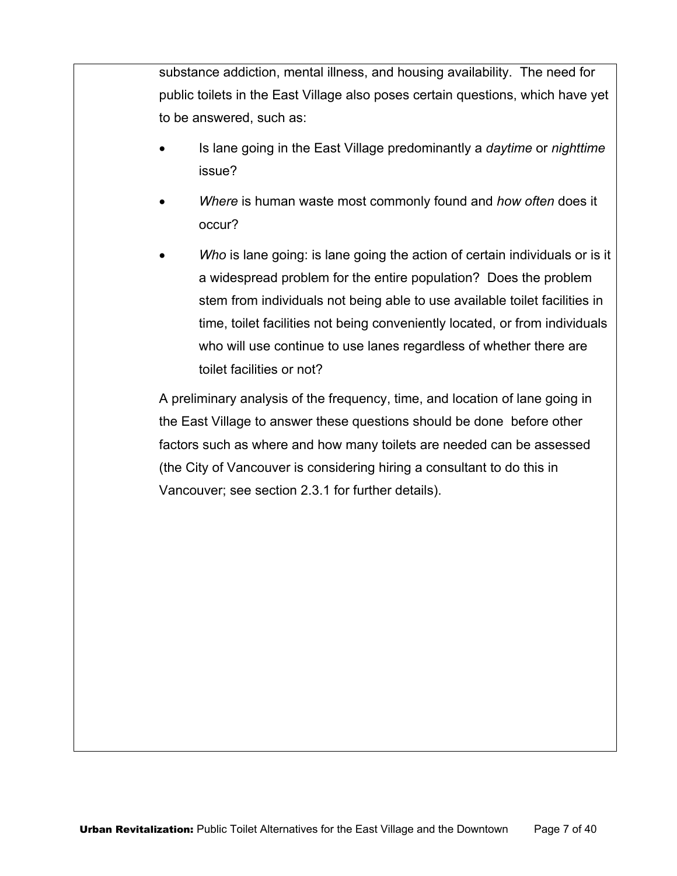substance addiction, mental illness, and housing availability. The need for public toilets in the East Village also poses certain questions, which have yet to be answered, such as:

- Is lane going in the East Village predominantly a *daytime* or *nighttime* issue?
- *Where* is human waste most commonly found and *how often* does it occur?
- Who is lane going: is lane going the action of certain individuals or is it a widespread problem for the entire population? Does the problem stem from individuals not being able to use available toilet facilities in time, toilet facilities not being conveniently located, or from individuals who will use continue to use lanes regardless of whether there are toilet facilities or not?

A preliminary analysis of the frequency, time, and location of lane going in the East Village to answer these questions should be done before other factors such as where and how many toilets are needed can be assessed (the City of Vancouver is considering hiring a consultant to do this in Vancouver; see section 2.3.1 for further details).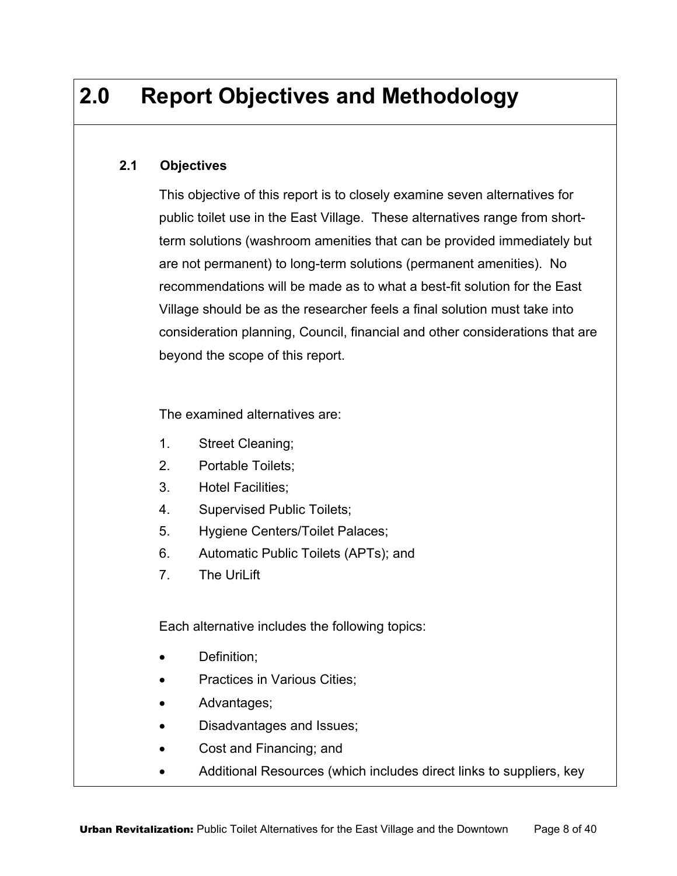# **2.0 Report Objectives and Methodology**

#### **2.1 Objectives**

This objective of this report is to closely examine seven alternatives for public toilet use in the East Village. These alternatives range from shortterm solutions (washroom amenities that can be provided immediately but are not permanent) to long-term solutions (permanent amenities). No recommendations will be made as to what a best-fit solution for the East Village should be as the researcher feels a final solution must take into consideration planning, Council, financial and other considerations that are beyond the scope of this report.

The examined alternatives are:

- 1. Street Cleaning;
- 2. Portable Toilets;
- 3. Hotel Facilities;
- 4. Supervised Public Toilets;
- 5. Hygiene Centers/Toilet Palaces;
- 6. Automatic Public Toilets (APTs); and
- 7. The UriLift

Each alternative includes the following topics:

- Definition;
- Practices in Various Cities;
- Advantages;
- Disadvantages and Issues;
- Cost and Financing; and
- Additional Resources (which includes direct links to suppliers, key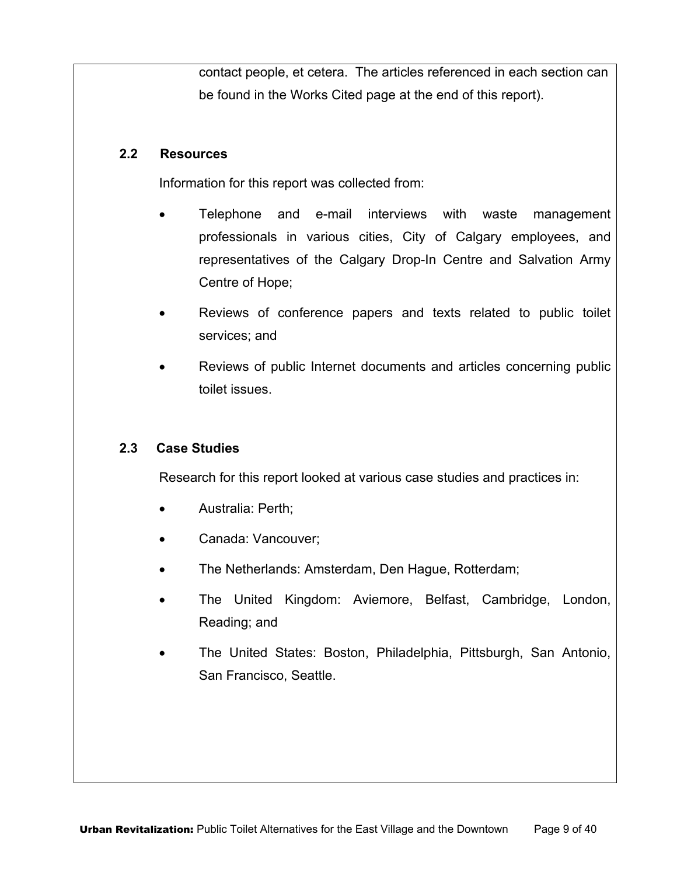contact people, et cetera. The articles referenced in each section can be found in the Works Cited page at the end of this report).

#### **2.2 Resources**

Information for this report was collected from:

- Telephone and e-mail interviews with waste management professionals in various cities, City of Calgary employees, and representatives of the Calgary Drop-In Centre and Salvation Army Centre of Hope;
- Reviews of conference papers and texts related to public toilet services; and
- Reviews of public Internet documents and articles concerning public toilet issues.

#### **2.3 Case Studies**

Research for this report looked at various case studies and practices in:

- Australia: Perth;
- Canada: Vancouver;
- The Netherlands: Amsterdam, Den Hague, Rotterdam;
- The United Kingdom: Aviemore, Belfast, Cambridge, London, Reading; and
- The United States: Boston, Philadelphia, Pittsburgh, San Antonio, San Francisco, Seattle.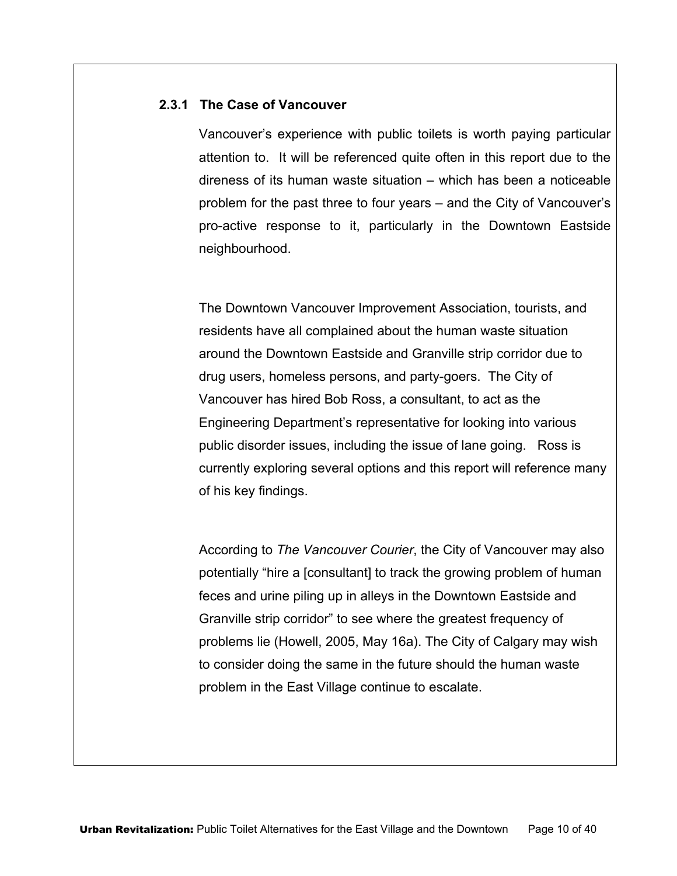#### **2.3.1 The Case of Vancouver**

Vancouver's experience with public toilets is worth paying particular attention to. It will be referenced quite often in this report due to the direness of its human waste situation – which has been a noticeable problem for the past three to four years – and the City of Vancouver's pro-active response to it, particularly in the Downtown Eastside neighbourhood.

The Downtown Vancouver Improvement Association, tourists, and residents have all complained about the human waste situation around the Downtown Eastside and Granville strip corridor due to drug users, homeless persons, and party-goers. The City of Vancouver has hired Bob Ross, a consultant, to act as the Engineering Department's representative for looking into various public disorder issues, including the issue of lane going. Ross is currently exploring several options and this report will reference many of his key findings.

According to *The Vancouver Courier*, the City of Vancouver may also potentially "hire a [consultant] to track the growing problem of human feces and urine piling up in alleys in the Downtown Eastside and Granville strip corridor" to see where the greatest frequency of problems lie (Howell, 2005, May 16a). The City of Calgary may wish to consider doing the same in the future should the human waste problem in the East Village continue to escalate.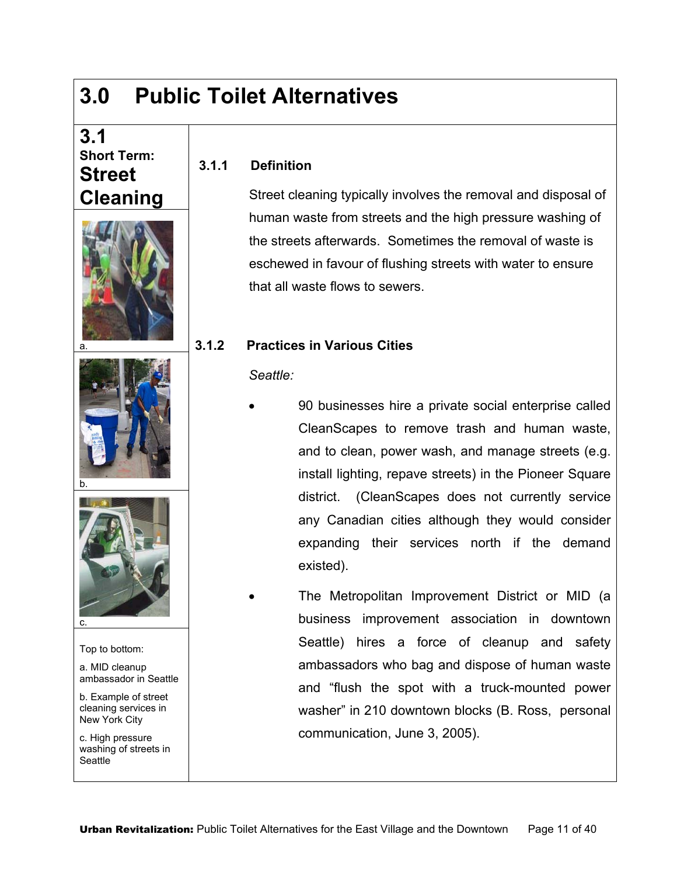# **3.0 Public Toilet Alternatives**

**3.1.1 Definition** 

## **3.1 Short Term: Street Cleaning**







Top to bottom:

a. MID cleanup ambassador in Seattle

b. Example of street cleaning services in New York City

c. High pressure washing of streets in **Seattle** 

Street cleaning typically involves the removal and disposal of human waste from streets and the high pressure washing of the streets afterwards. Sometimes the removal of waste is eschewed in favour of flushing streets with water to ensure that all waste flows to sewers.

#### **3.1.2 Practices in Various Cities**

#### *Seattle:*

- 90 businesses hire a private social enterprise called CleanScapes to remove trash and human waste, and to clean, power wash, and manage streets (e.g. install lighting, repave streets) in the Pioneer Square district. (CleanScapes does not currently service any Canadian cities although they would consider expanding their services north if the demand existed).
- The Metropolitan Improvement District or MID (a business improvement association in downtown Seattle) hires a force of cleanup and safety ambassadors who bag and dispose of human waste and "flush the spot with a truck-mounted power washer" in 210 downtown blocks (B. Ross, personal communication, June 3, 2005).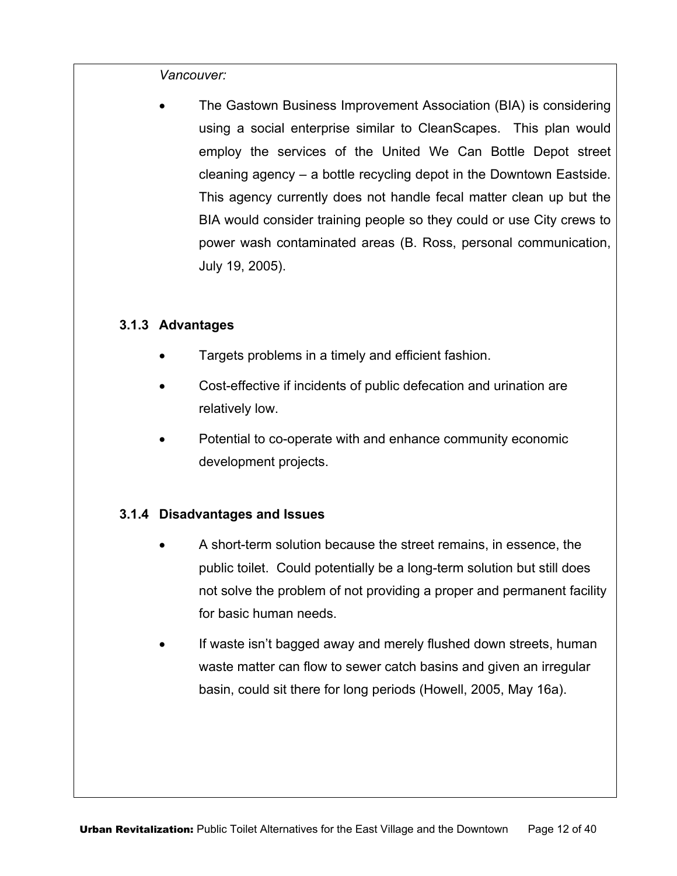*Vancouver:* 

• The Gastown Business Improvement Association (BIA) is considering using a social enterprise similar to CleanScapes. This plan would employ the services of the United We Can Bottle Depot street cleaning agency – a bottle recycling depot in the Downtown Eastside. This agency currently does not handle fecal matter clean up but the BIA would consider training people so they could or use City crews to power wash contaminated areas (B. Ross, personal communication, July 19, 2005).

#### **3.1.3 Advantages**

- Targets problems in a timely and efficient fashion.
- Cost-effective if incidents of public defecation and urination are relatively low.
- Potential to co-operate with and enhance community economic development projects.

#### **3.1.4 Disadvantages and Issues**

- A short-term solution because the street remains, in essence, the public toilet. Could potentially be a long-term solution but still does not solve the problem of not providing a proper and permanent facility for basic human needs.
- If waste isn't bagged away and merely flushed down streets, human waste matter can flow to sewer catch basins and given an irregular basin, could sit there for long periods (Howell, 2005, May 16a).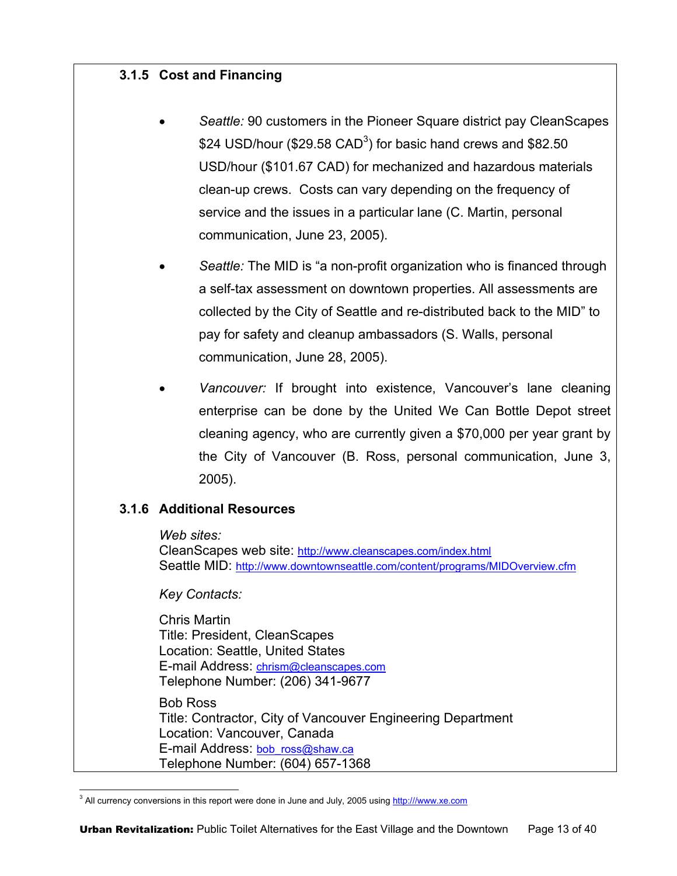#### **3.1.5 Cost and Financing**

- *Seattle:* 90 customers in the Pioneer Square district pay CleanScapes \$24 USD/hour (\$29.58 CAD<sup>3</sup>) for basic hand crews and \$82.50 USD/hour (\$101.67 CAD) for mechanized and hazardous materials clean-up crews. Costs can vary depending on the frequency of service and the issues in a particular lane (C. Martin, personal communication, June 23, 2005).
- *Seattle:* The MID is "a non-profit organization who is financed through a self-tax assessment on downtown properties. All assessments are collected by the City of Seattle and re-distributed back to the MID" to pay for safety and cleanup ambassadors (S. Walls, personal communication, June 28, 2005).
- *Vancouver:* If brought into existence, Vancouver's lane cleaning enterprise can be done by the United We Can Bottle Depot street cleaning agency, who are currently given a \$70,000 per year grant by the City of Vancouver (B. Ross, personal communication, June 3, 2005).

#### **3.1.6 Additional Resources**

*Web sites:* 

CleanScapes web site: http://www.cleanscapes.com/index.html Seattle MID: http://www.downtownseattle.com/content/programs/MIDOverview.cfm

*Key Contacts:* 

Chris Martin Title: President, CleanScapes Location: Seattle, United States E-mail Address: chrism@cleanscapes.com Telephone Number: (206) 341-9677

Bob Ross Title: Contractor, City of Vancouver Engineering Department Location: Vancouver, Canada E-mail Address: bob\_ross@shaw.ca Telephone Number: (604) 657-1368

 $\overline{a}$ <sup>3</sup> All currency conversions in this report were done in June and July, 2005 using http:///www.xe.com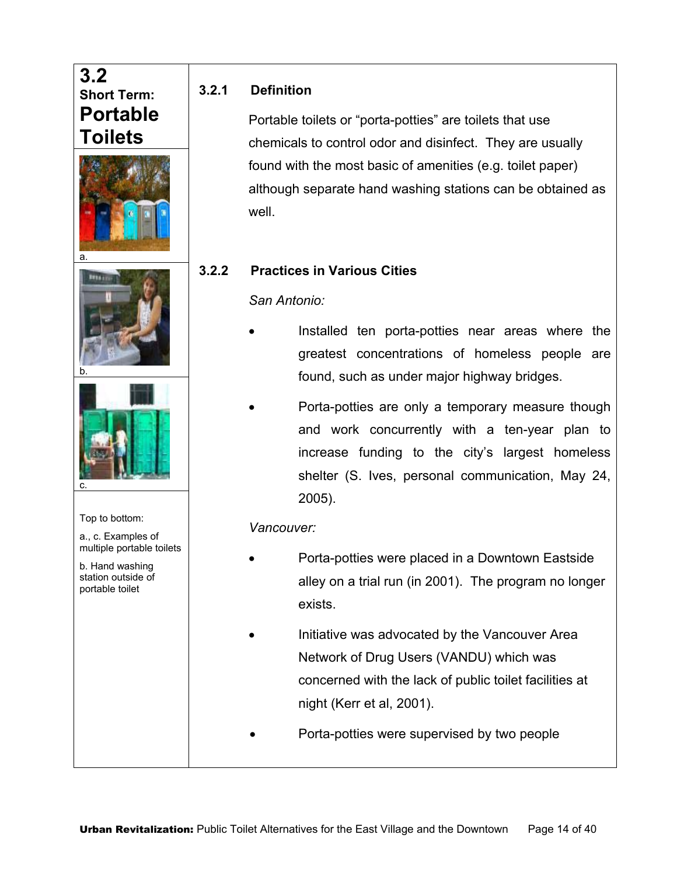## **3.2 Short Term: Portable Toilets**







#### Top to bottom:

a., c. Examples of multiple portable toilets

b. Hand washing station outside of portable toilet

#### **3.2.1 Definition**

Portable toilets or "porta-potties" are toilets that use chemicals to control odor and disinfect. They are usually found with the most basic of amenities (e.g. toilet paper) although separate hand washing stations can be obtained as well.

#### **3.2.2 Practices in Various Cities**

#### *San Antonio:*

- Installed ten porta-potties near areas where the greatest concentrations of homeless people are found, such as under major highway bridges.
- Porta-potties are only a temporary measure though and work concurrently with a ten-year plan to increase funding to the city's largest homeless shelter (S. Ives, personal communication, May 24, 2005).

#### *Vancouver:*

- Porta-potties were placed in a Downtown Eastside alley on a trial run (in 2001). The program no longer exists.
	- Initiative was advocated by the Vancouver Area Network of Drug Users (VANDU) which was concerned with the lack of public toilet facilities at night (Kerr et al, 2001).
- Porta-potties were supervised by two people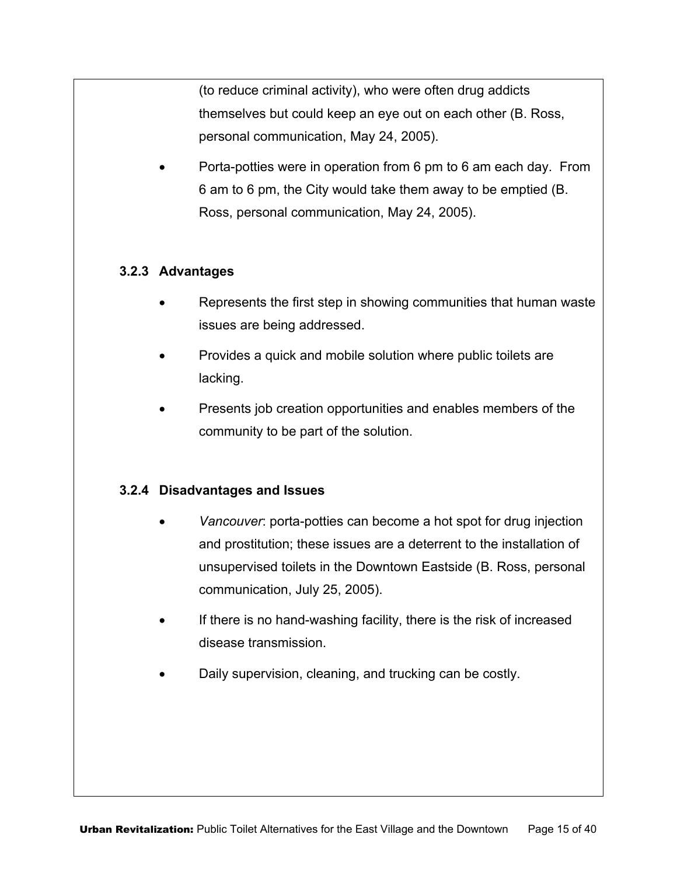(to reduce criminal activity), who were often drug addicts themselves but could keep an eye out on each other (B. Ross, personal communication, May 24, 2005).

• Porta-potties were in operation from 6 pm to 6 am each day. From 6 am to 6 pm, the City would take them away to be emptied (B. Ross, personal communication, May 24, 2005).

#### **3.2.3 Advantages**

- Represents the first step in showing communities that human waste issues are being addressed.
- Provides a quick and mobile solution where public toilets are lacking.
- Presents job creation opportunities and enables members of the community to be part of the solution.

#### **3.2.4 Disadvantages and Issues**

- *Vancouver*: porta-potties can become a hot spot for drug injection and prostitution; these issues are a deterrent to the installation of unsupervised toilets in the Downtown Eastside (B. Ross, personal communication, July 25, 2005).
- If there is no hand-washing facility, there is the risk of increased disease transmission.
- Daily supervision, cleaning, and trucking can be costly.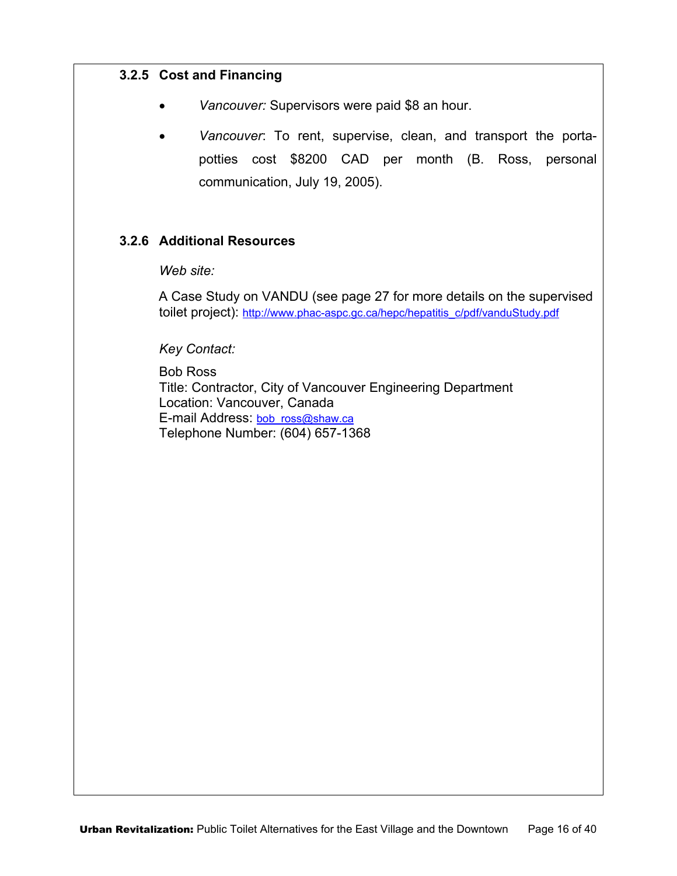#### **3.2.5 Cost and Financing**

- *Vancouver:* Supervisors were paid \$8 an hour.
- *Vancouver*: To rent, supervise, clean, and transport the portapotties cost \$8200 CAD per month (B. Ross, personal communication, July 19, 2005).

#### **3.2.6 Additional Resources**

*Web site:* 

A Case Study on VANDU (see page 27 for more details on the supervised toilet project): http://www.phac-aspc.gc.ca/hepc/hepatitis\_c/pdf/vanduStudy.pdf

*Key Contact:* 

Bob Ross Title: Contractor, City of Vancouver Engineering Department Location: Vancouver, Canada E-mail Address: bob\_ross@shaw.ca Telephone Number: (604) 657-1368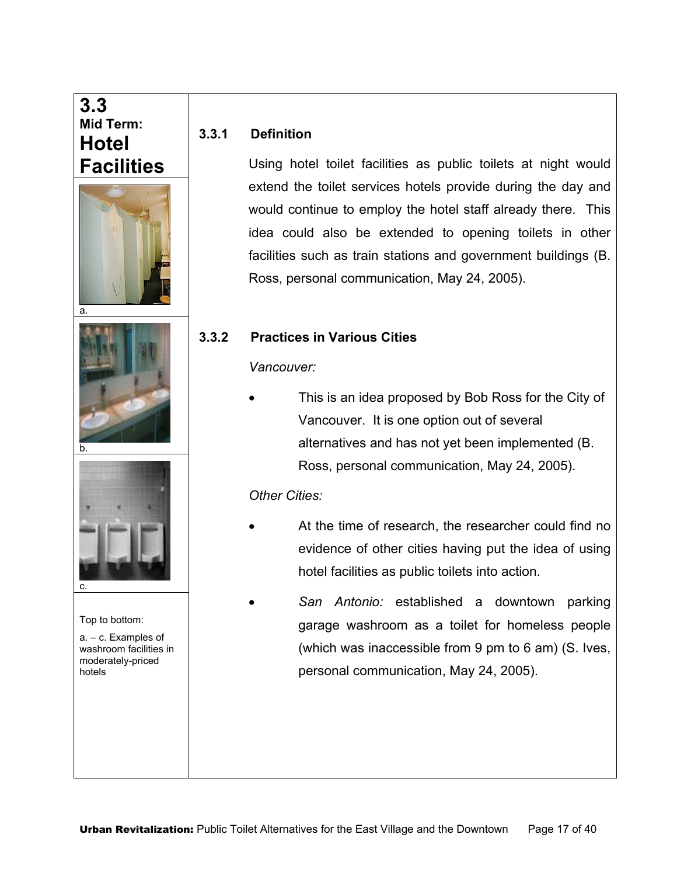## **3.3 Mid Term: Hotel Facilities**







#### Top to bottom:

a. – c. Examples of washroom facilities in moderately-priced hotels

#### **3.3.1 Definition**

Using hotel toilet facilities as public toilets at night would extend the toilet services hotels provide during the day and would continue to employ the hotel staff already there. This idea could also be extended to opening toilets in other facilities such as train stations and government buildings (B. Ross, personal communication, May 24, 2005).

#### **3.3.2 Practices in Various Cities**

*Vancouver:* 

This is an idea proposed by Bob Ross for the City of Vancouver. It is one option out of several alternatives and has not yet been implemented (B. Ross, personal communication, May 24, 2005).

#### *Other Cities:*

- At the time of research, the researcher could find no evidence of other cities having put the idea of using hotel facilities as public toilets into action.
- *San Antonio:* established a downtown parking garage washroom as a toilet for homeless people (which was inaccessible from 9 pm to 6 am) (S. Ives, personal communication, May 24, 2005).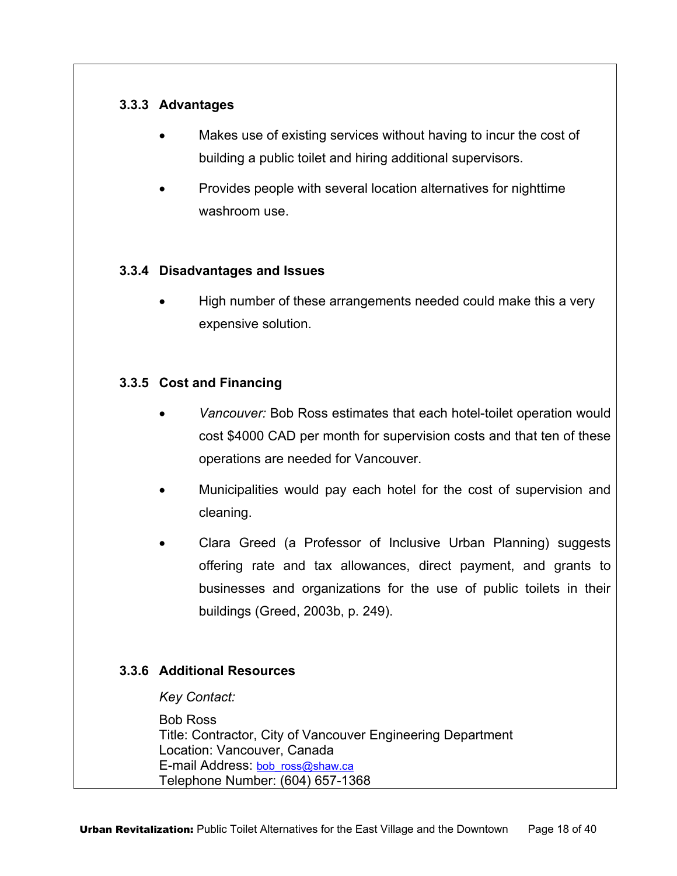#### **3.3.3 Advantages**

- Makes use of existing services without having to incur the cost of building a public toilet and hiring additional supervisors.
- Provides people with several location alternatives for nighttime washroom use.

#### **3.3.4 Disadvantages and Issues**

• High number of these arrangements needed could make this a very expensive solution.

#### **3.3.5 Cost and Financing**

- *Vancouver:* Bob Ross estimates that each hotel-toilet operation would cost \$4000 CAD per month for supervision costs and that ten of these operations are needed for Vancouver.
- Municipalities would pay each hotel for the cost of supervision and cleaning.
- Clara Greed (a Professor of Inclusive Urban Planning) suggests offering rate and tax allowances, direct payment, and grants to businesses and organizations for the use of public toilets in their buildings (Greed, 2003b, p. 249).

#### **3.3.6 Additional Resources**

*Key Contact:* 

Bob Ross Title: Contractor, City of Vancouver Engineering Department Location: Vancouver, Canada E-mail Address: bob\_ross@shaw.ca Telephone Number: (604) 657-1368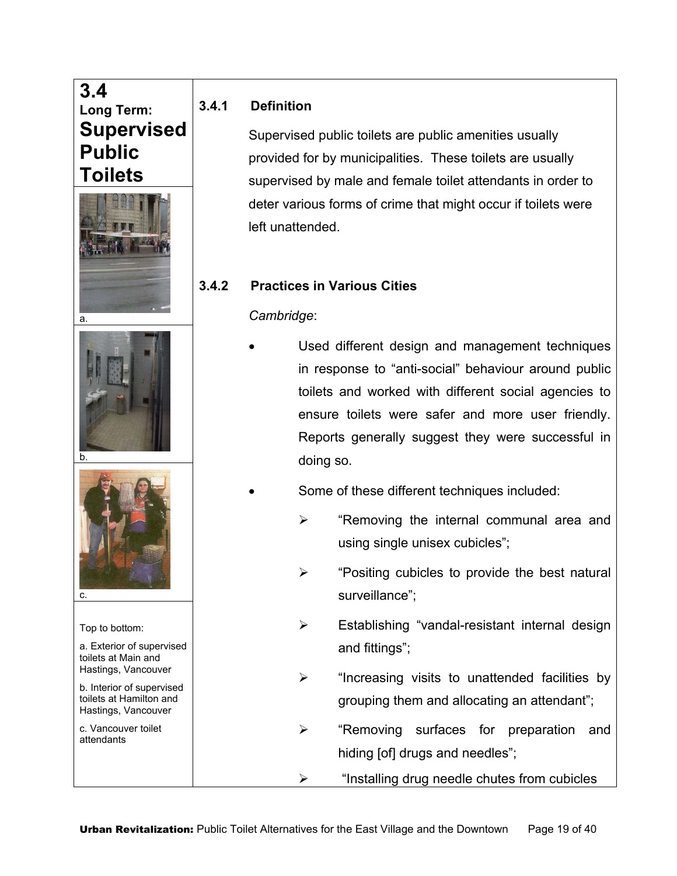# **3.4 Long Term: Supervised Public Toilets**







Top to bottom:

- a. Exterior of supervised toilets at Main and Hastings, Vancouver
- b. Interior of supervised toilets at Hamilton and Hastings, Vancouver

c. Vancouver toilet attendants

### **3.4.1 Definition**

Supervised public toilets are public amenities usually provided for by municipalities. These toilets are usually supervised by male and female toilet attendants in order to deter various forms of crime that might occur if toilets were left unattended.

## **3.4.2 Practices in Various Cities**

#### *Cambridge*:

- Used different design and management techniques in response to "anti-social" behaviour around public toilets and worked with different social agencies to ensure toilets were safer and more user friendly. Reports generally suggest they were successful in doing so.
- Some of these different techniques included:
	- $\triangleright$  "Removing the internal communal area and using single unisex cubicles";
	- $\triangleright$  "Positing cubicles to provide the best natural surveillance";
	- $\triangleright$  Establishing "vandal-resistant internal design and fittings";
	- $\triangleright$  "Increasing visits to unattended facilities by grouping them and allocating an attendant";
	- ¾ "Removing surfaces for preparation and hiding [of] drugs and needles";
	- $\triangleright$  "Installing drug needle chutes from cubicles"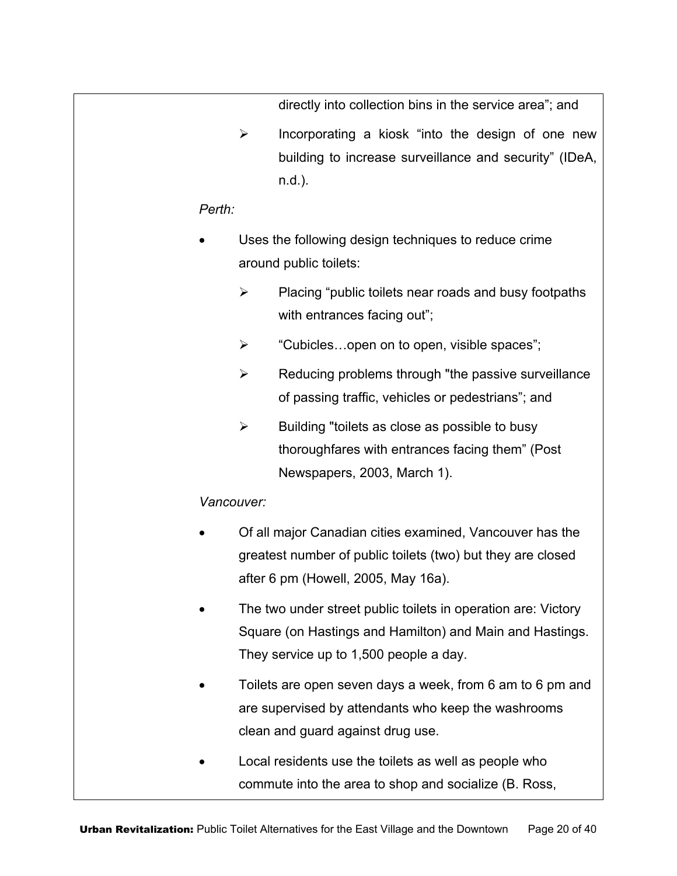directly into collection bins in the service area"; and

 $\triangleright$  Incorporating a kiosk "into the design of one new building to increase surveillance and security" (IDeA, n.d.).

#### *Perth:*

- Uses the following design techniques to reduce crime around public toilets:
	- $\triangleright$  Placing "public toilets near roads and busy footpaths" with entrances facing out";
	- $\triangleright$  "Cubicles...open on to open, visible spaces";
	- $\triangleright$  Reducing problems through "the passive surveillance of passing traffic, vehicles or pedestrians"; and
	- $\triangleright$  Building "toilets as close as possible to busy thoroughfares with entrances facing them" (Post Newspapers, 2003, March 1).

#### *Vancouver:*

- Of all major Canadian cities examined, Vancouver has the greatest number of public toilets (two) but they are closed after 6 pm (Howell, 2005, May 16a).
- The two under street public toilets in operation are: Victory Square (on Hastings and Hamilton) and Main and Hastings. They service up to 1,500 people a day.
- Toilets are open seven days a week, from 6 am to 6 pm and are supervised by attendants who keep the washrooms clean and guard against drug use.
- Local residents use the toilets as well as people who commute into the area to shop and socialize (B. Ross,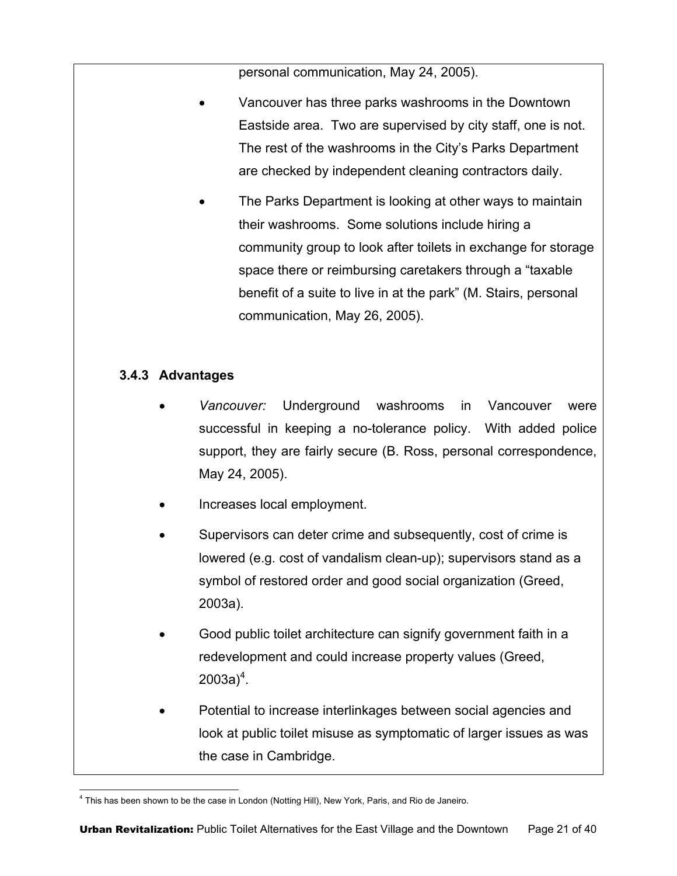personal communication, May 24, 2005).

- Vancouver has three parks washrooms in the Downtown Eastside area. Two are supervised by city staff, one is not. The rest of the washrooms in the City's Parks Department are checked by independent cleaning contractors daily.
- The Parks Department is looking at other ways to maintain their washrooms. Some solutions include hiring a community group to look after toilets in exchange for storage space there or reimbursing caretakers through a "taxable benefit of a suite to live in at the park" (M. Stairs, personal communication, May 26, 2005).

#### **3.4.3 Advantages**

- *Vancouver:* Underground washrooms in Vancouver were successful in keeping a no-tolerance policy. With added police support, they are fairly secure (B. Ross, personal correspondence, May 24, 2005).
- Increases local employment.
- Supervisors can deter crime and subsequently, cost of crime is lowered (e.g. cost of vandalism clean-up); supervisors stand as a symbol of restored order and good social organization (Greed, 2003a).
- Good public toilet architecture can signify government faith in a redevelopment and could increase property values (Greed, 2003a) $^{4}$ .
- Potential to increase interlinkages between social agencies and look at public toilet misuse as symptomatic of larger issues as was the case in Cambridge.

 $\overline{a}$ 4 This has been shown to be the case in London (Notting Hill), New York, Paris, and Rio de Janeiro.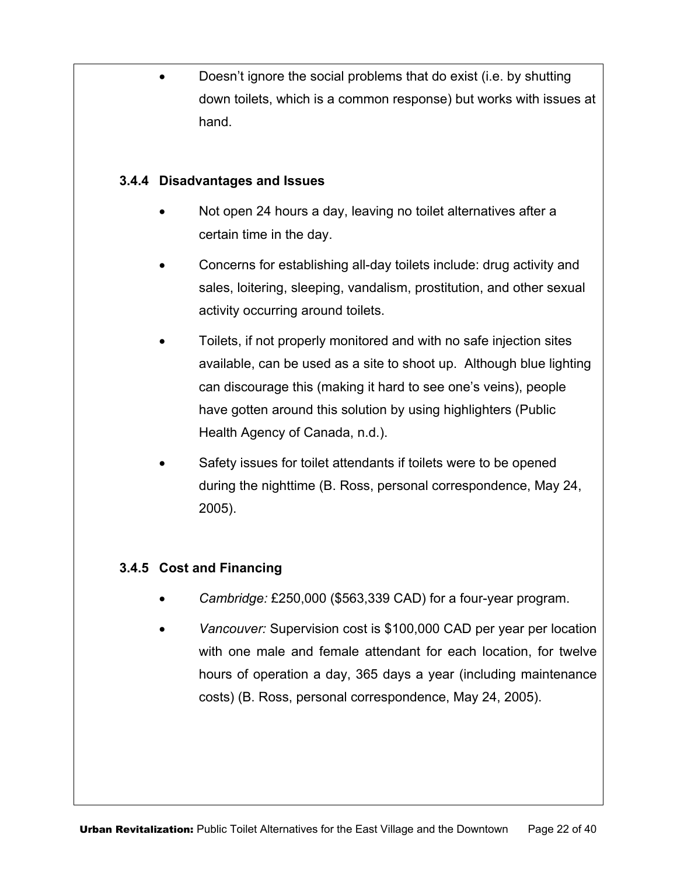• Doesn't ignore the social problems that do exist (i.e. by shutting down toilets, which is a common response) but works with issues at hand.

#### **3.4.4 Disadvantages and Issues**

- Not open 24 hours a day, leaving no toilet alternatives after a certain time in the day.
- Concerns for establishing all-day toilets include: drug activity and sales, loitering, sleeping, vandalism, prostitution, and other sexual activity occurring around toilets.
- Toilets, if not properly monitored and with no safe injection sites available, can be used as a site to shoot up. Although blue lighting can discourage this (making it hard to see one's veins), people have gotten around this solution by using highlighters (Public Health Agency of Canada, n.d.).
- Safety issues for toilet attendants if toilets were to be opened during the nighttime (B. Ross, personal correspondence, May 24, 2005).

#### **3.4.5 Cost and Financing**

- *Cambridge:* £250,000 (\$563,339 CAD) for a four-year program.
- *Vancouver:* Supervision cost is \$100,000 CAD per year per location with one male and female attendant for each location, for twelve hours of operation a day, 365 days a year (including maintenance costs) (B. Ross, personal correspondence, May 24, 2005).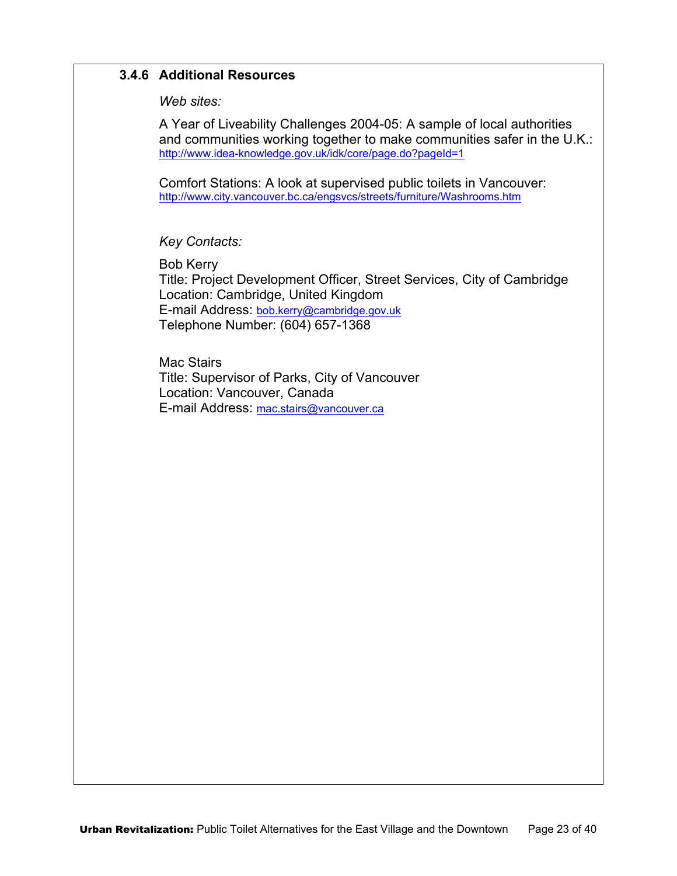#### **3.4.6 Additional Resources**

*Web sites:* 

A Year of Liveability Challenges 2004-05: A sample of local authorities and communities working together to make communities safer in the U.K.: http://www.idea-knowledge.gov.uk/idk/core/page.do?pageId=1

Comfort Stations: A look at supervised public toilets in Vancouver: http://www.city.vancouver.bc.ca/engsvcs/streets/furniture/Washrooms.htm

*Key Contacts:* 

Bob Kerry Title: Project Development Officer, Street Services, City of Cambridge Location: Cambridge, United Kingdom E-mail Address: bob.kerry@cambridge.gov.uk Telephone Number: (604) 657-1368

Mac Stairs Title: Supervisor of Parks, City of Vancouver Location: Vancouver, Canada E-mail Address: mac.stairs@vancouver.ca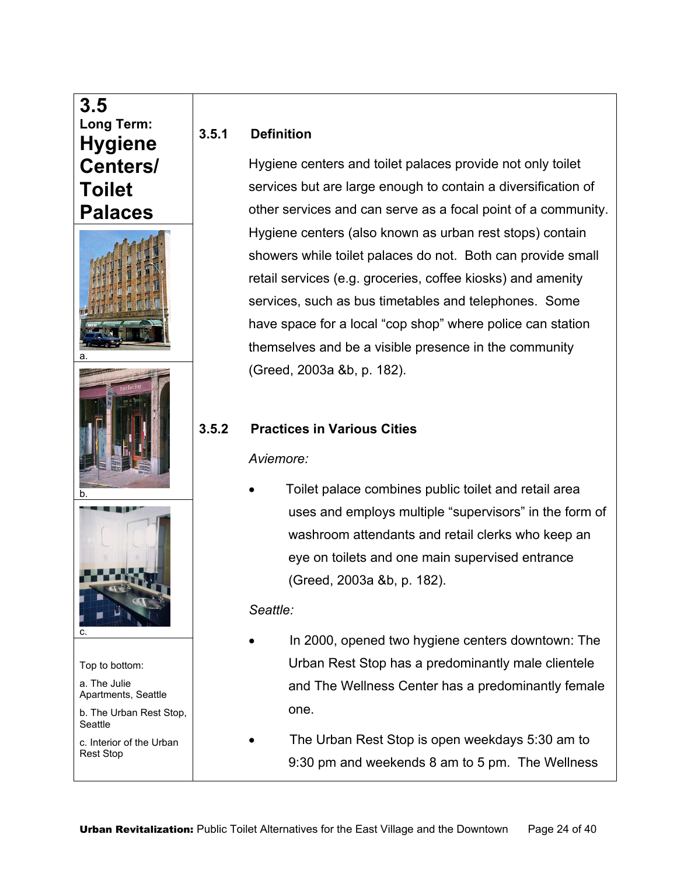# **3.5 Long Term: Hygiene Centers/ Toilet Palaces**







Top to bottom:

a. The Julie Apartments, Seattle

b. The Urban Rest Stop, **Seattle** 

c. Interior of the Urban Rest Stop

#### **3.5.1 Definition**

Hygiene centers and toilet palaces provide not only toilet services but are large enough to contain a diversification of other services and can serve as a focal point of a community. Hygiene centers (also known as urban rest stops) contain showers while toilet palaces do not. Both can provide small retail services (e.g. groceries, coffee kiosks) and amenity services, such as bus timetables and telephones. Some have space for a local "cop shop" where police can station themselves and be a visible presence in the community (Greed, 2003a &b, p. 182).

#### **3.5.2 Practices in Various Cities**

*Aviemore:* 

• Toilet palace combines public toilet and retail area uses and employs multiple "supervisors" in the form of washroom attendants and retail clerks who keep an eye on toilets and one main supervised entrance (Greed, 2003a &b, p. 182).

#### *Seattle:*

- In 2000, opened two hygiene centers downtown: The Urban Rest Stop has a predominantly male clientele and The Wellness Center has a predominantly female one.
- The Urban Rest Stop is open weekdays 5:30 am to 9:30 pm and weekends 8 am to 5 pm. The Wellness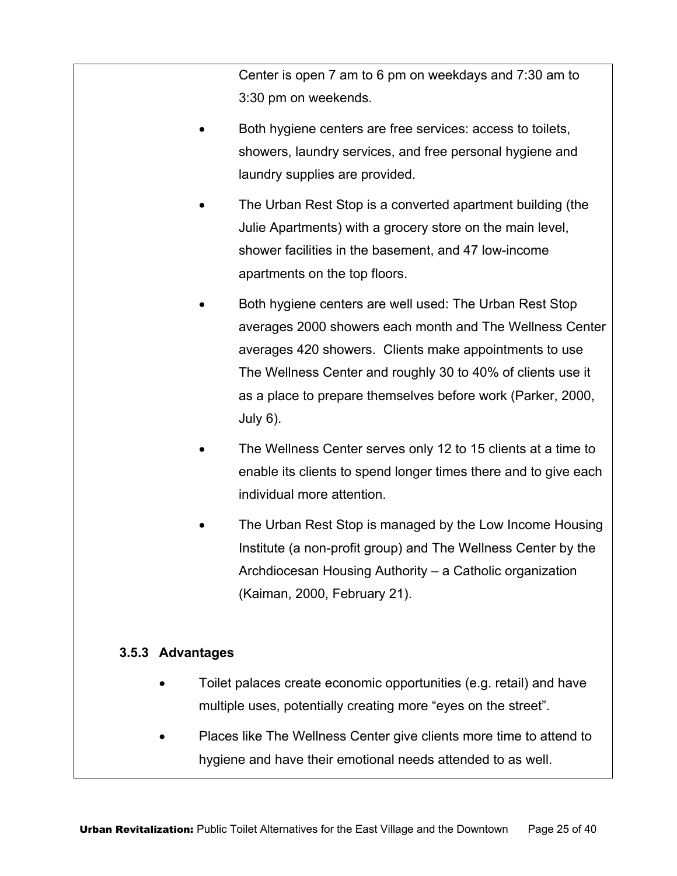Center is open 7 am to 6 pm on weekdays and 7:30 am to 3:30 pm on weekends.

- Both hygiene centers are free services: access to toilets, showers, laundry services, and free personal hygiene and laundry supplies are provided.
- The Urban Rest Stop is a converted apartment building (the Julie Apartments) with a grocery store on the main level, shower facilities in the basement, and 47 low-income apartments on the top floors.
- Both hygiene centers are well used: The Urban Rest Stop averages 2000 showers each month and The Wellness Center averages 420 showers. Clients make appointments to use The Wellness Center and roughly 30 to 40% of clients use it as a place to prepare themselves before work (Parker, 2000, July 6).
- The Wellness Center serves only 12 to 15 clients at a time to enable its clients to spend longer times there and to give each individual more attention.
- The Urban Rest Stop is managed by the Low Income Housing Institute (a non-profit group) and The Wellness Center by the Archdiocesan Housing Authority – a Catholic organization (Kaiman, 2000, February 21).

#### **3.5.3 Advantages**

- Toilet palaces create economic opportunities (e.g. retail) and have multiple uses, potentially creating more "eyes on the street".
- Places like The Wellness Center give clients more time to attend to hygiene and have their emotional needs attended to as well.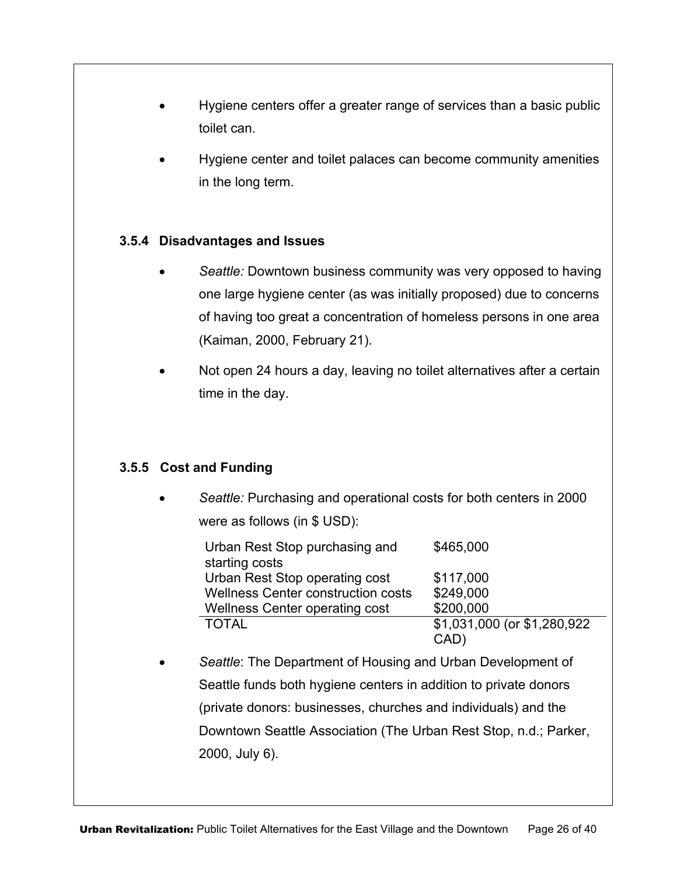- Hygiene centers offer a greater range of services than a basic public toilet can.
- Hygiene center and toilet palaces can become community amenities in the long term.

#### **3.5.4 Disadvantages and Issues**

- *Seattle:* Downtown business community was very opposed to having one large hygiene center (as was initially proposed) due to concerns of having too great a concentration of homeless persons in one area (Kaiman, 2000, February 21).
- Not open 24 hours a day, leaving no toilet alternatives after a certain time in the day.

#### **3.5.5 Cost and Funding**

• *Seattle:* Purchasing and operational costs for both centers in 2000 were as follows (in \$ USD):

| Urban Rest Stop purchasing and            | \$465,000                    |
|-------------------------------------------|------------------------------|
| starting costs                            |                              |
| Urban Rest Stop operating cost            | \$117,000                    |
| <b>Wellness Center construction costs</b> | \$249,000                    |
| Wellness Center operating cost            | \$200,000                    |
| <b>TOTAL</b>                              | \$1,031,000 (or \$1,280,922) |
|                                           | (CAD                         |

• *Seattle*: The Department of Housing and Urban Development of Seattle funds both hygiene centers in addition to private donors (private donors: businesses, churches and individuals) and the Downtown Seattle Association (The Urban Rest Stop, n.d.; Parker, 2000, July 6).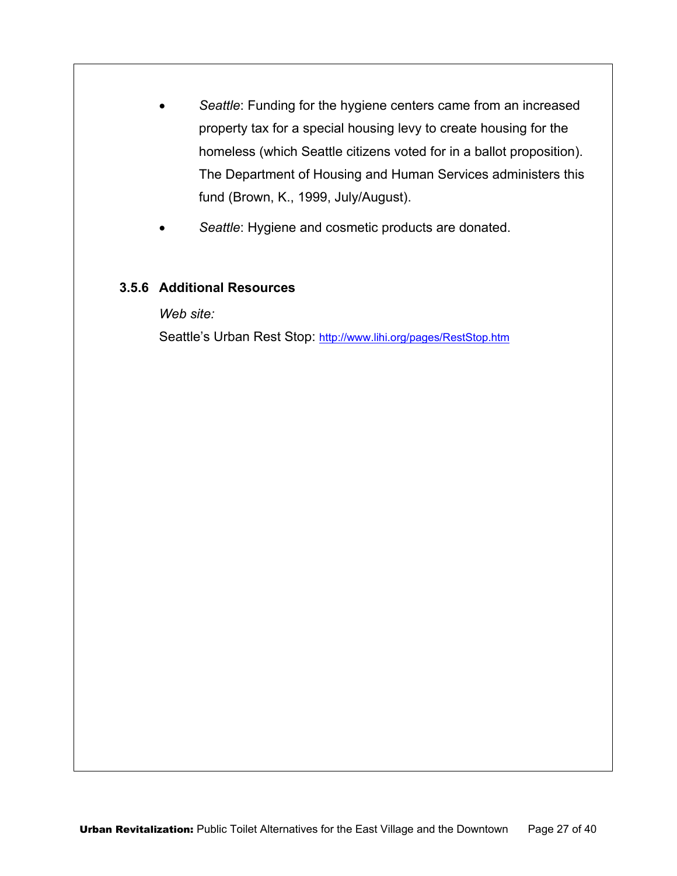- *Seattle*: Funding for the hygiene centers came from an increased property tax for a special housing levy to create housing for the homeless (which Seattle citizens voted for in a ballot proposition). The Department of Housing and Human Services administers this fund (Brown, K., 1999, July/August).
- Seattle: Hygiene and cosmetic products are donated.

#### **3.5.6 Additional Resources**

*Web site:* 

Seattle's Urban Rest Stop: http://www.lihi.org/pages/RestStop.htm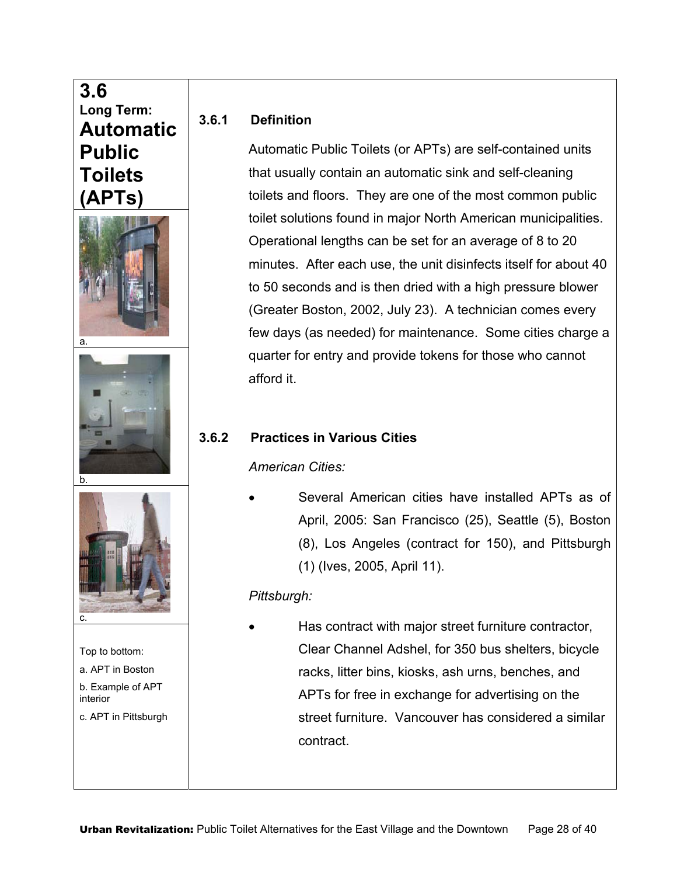# **3.6 Long Term: Automatic Public Toilets (APTs)**  a. b. c. Top to bottom: a. APT in Boston b. Example of APT interior c. APT in Pittsburgh

#### **3.6.1 Definition**

Automatic Public Toilets (or APTs) are self-contained units that usually contain an automatic sink and self-cleaning toilets and floors. They are one of the most common public toilet solutions found in major North American municipalities. Operational lengths can be set for an average of 8 to 20 minutes. After each use, the unit disinfects itself for about 40 to 50 seconds and is then dried with a high pressure blower (Greater Boston, 2002, July 23). A technician comes every few days (as needed) for maintenance. Some cities charge a quarter for entry and provide tokens for those who cannot afford it.

## **3.6.2 Practices in Various Cities**

*American Cities:* 

• Several American cities have installed APTs as of April, 2005: San Francisco (25), Seattle (5), Boston (8), Los Angeles (contract for 150), and Pittsburgh (1) (Ives, 2005, April 11).

## *Pittsburgh:*

• Has contract with major street furniture contractor, Clear Channel Adshel, for 350 bus shelters, bicycle racks, litter bins, kiosks, ash urns, benches, and APTs for free in exchange for advertising on the street furniture. Vancouver has considered a similar contract.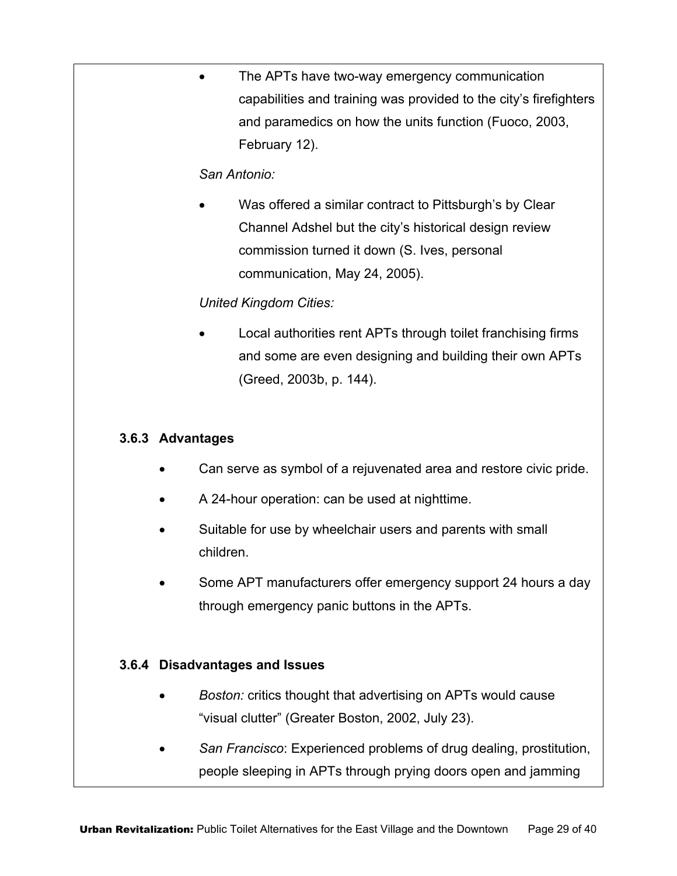The APTs have two-way emergency communication capabilities and training was provided to the city's firefighters and paramedics on how the units function (Fuoco, 2003, February 12).

#### *San Antonio:*

Was offered a similar contract to Pittsburgh's by Clear Channel Adshel but the city's historical design review commission turned it down (S. Ives, personal communication, May 24, 2005).

#### *United Kingdom Cities:*

Local authorities rent APTs through toilet franchising firms and some are even designing and building their own APTs (Greed, 2003b, p. 144).

#### **3.6.3 Advantages**

- Can serve as symbol of a rejuvenated area and restore civic pride.
- A 24-hour operation: can be used at nighttime.
- Suitable for use by wheelchair users and parents with small children.
- Some APT manufacturers offer emergency support 24 hours a day through emergency panic buttons in the APTs.

#### **3.6.4 Disadvantages and Issues**

- *Boston:* critics thought that advertising on APTs would cause "visual clutter" (Greater Boston, 2002, July 23).
- *San Francisco*: Experienced problems of drug dealing, prostitution, people sleeping in APTs through prying doors open and jamming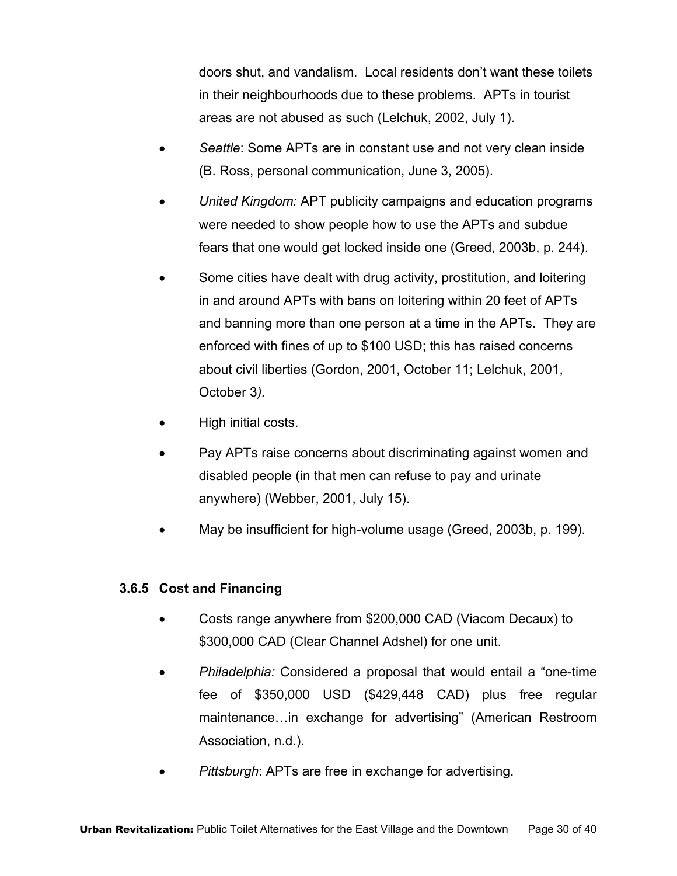doors shut, and vandalism. Local residents don't want these toilets in their neighbourhoods due to these problems. APTs in tourist areas are not abused as such (Lelchuk, 2002, July 1).

- *Seattle*: Some APTs are in constant use and not very clean inside (B. Ross, personal communication, June 3, 2005).
- *United Kingdom:* APT publicity campaigns and education programs were needed to show people how to use the APTs and subdue fears that one would get locked inside one (Greed, 2003b, p. 244).
- Some cities have dealt with drug activity, prostitution, and loitering in and around APTs with bans on loitering within 20 feet of APTs and banning more than one person at a time in the APTs. They are enforced with fines of up to \$100 USD; this has raised concerns about civil liberties (Gordon, 2001, October 11; Lelchuk, 2001, October 3*).*
- High initial costs.
- Pay APTs raise concerns about discriminating against women and disabled people (in that men can refuse to pay and urinate anywhere) (Webber, 2001, July 15).
- May be insufficient for high-volume usage (Greed, 2003b, p. 199).

#### **3.6.5 Cost and Financing**

- Costs range anywhere from \$200,000 CAD (Viacom Decaux) to \$300,000 CAD (Clear Channel Adshel) for one unit.
- *Philadelphia:* Considered a proposal that would entail a "one-time fee of \$350,000 USD (\$429,448 CAD) plus free regular maintenance…in exchange for advertising" (American Restroom Association, n.d.).
- *Pittsburgh*: APTs are free in exchange for advertising.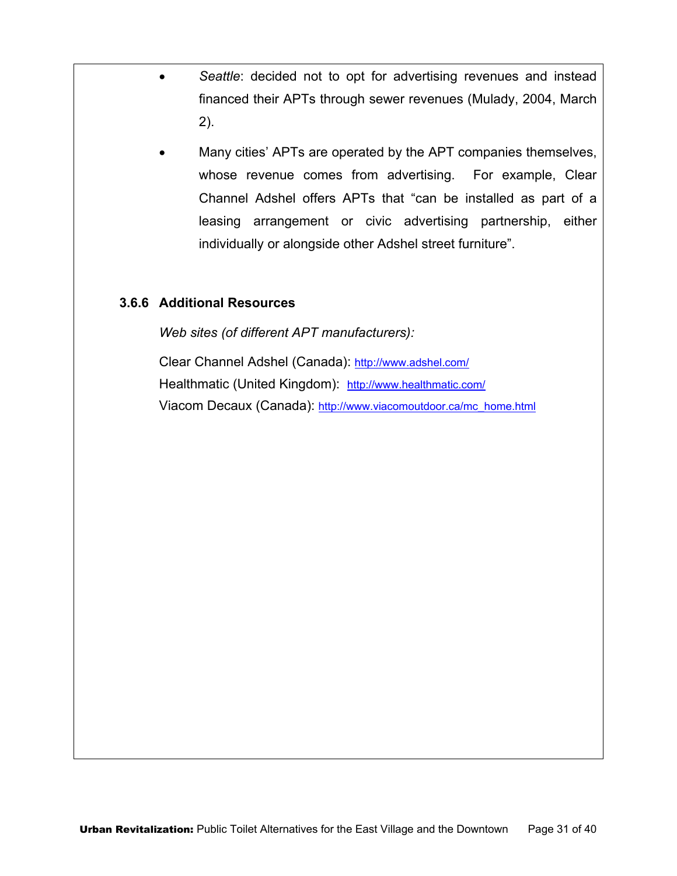- *Seattle*: decided not to opt for advertising revenues and instead financed their APTs through sewer revenues (Mulady, 2004, March 2).
- Many cities' APTs are operated by the APT companies themselves, whose revenue comes from advertising. For example, Clear Channel Adshel offers APTs that "can be installed as part of a leasing arrangement or civic advertising partnership, either individually or alongside other Adshel street furniture".

#### **3.6.6 Additional Resources**

*Web sites (of different APT manufacturers):* 

Clear Channel Adshel (Canada): http://www.adshel.com/ Healthmatic (United Kingdom): http://www.healthmatic.com/ Viacom Decaux (Canada): http://www.viacomoutdoor.ca/mc\_home.html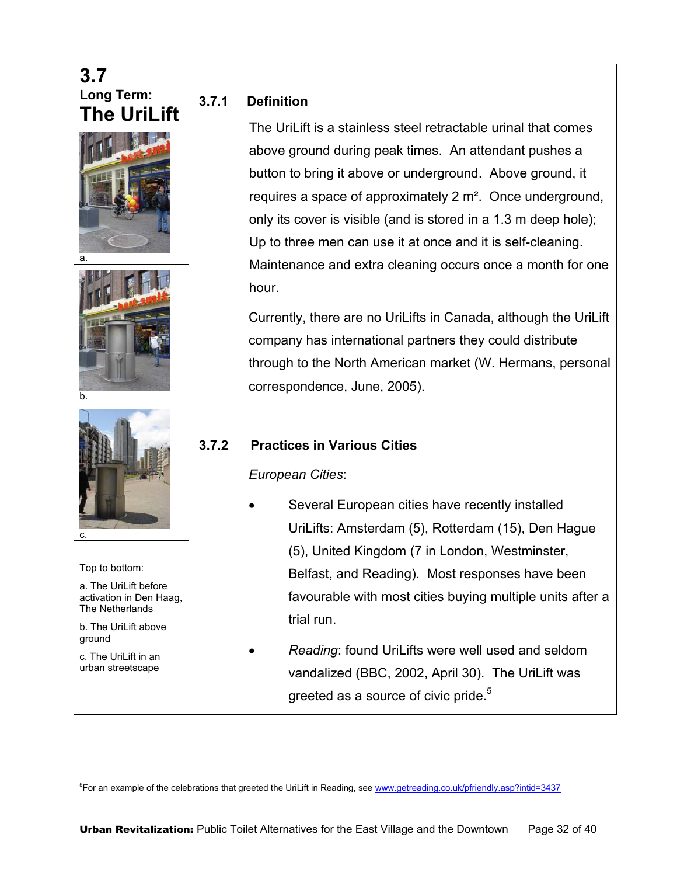## **3.7 Long Term: The UriLift**





b.



Top to bottom:

a. The UriLift before activation in Den Haag, The Netherlands

b. The UriLift above ground

c. The UriLift in an urban streetscape

 $\overline{a}$ 

#### **3.7.1 Definition**

The UriLift is a stainless steel retractable urinal that comes above ground during peak times. An attendant pushes a button to bring it above or underground. Above ground, it requires a space of approximately 2 m². Once underground, only its cover is visible (and is stored in a 1.3 m deep hole); Up to three men can use it at once and it is self-cleaning. Maintenance and extra cleaning occurs once a month for one hour.

Currently, there are no UriLifts in Canada, although the UriLift company has international partners they could distribute through to the North American market (W. Hermans, personal correspondence, June, 2005).

#### **3.7.2 Practices in Various Cities**

*European Cities*:

- Several European cities have recently installed UriLifts: Amsterdam (5), Rotterdam (15), Den Hague (5), United Kingdom (7 in London, Westminster, Belfast, and Reading). Most responses have been favourable with most cities buying multiple units after a trial run.
- *Reading*: found UriLifts were well used and seldom vandalized (BBC, 2002, April 30). The UriLift was greeted as a source of civic pride.<sup>5</sup>

<sup>&</sup>lt;sup>5</sup>For an example of the celebrations that greeted the UriLift in Reading, see www.getreading.co.uk/pfriendly.asp?intid=3437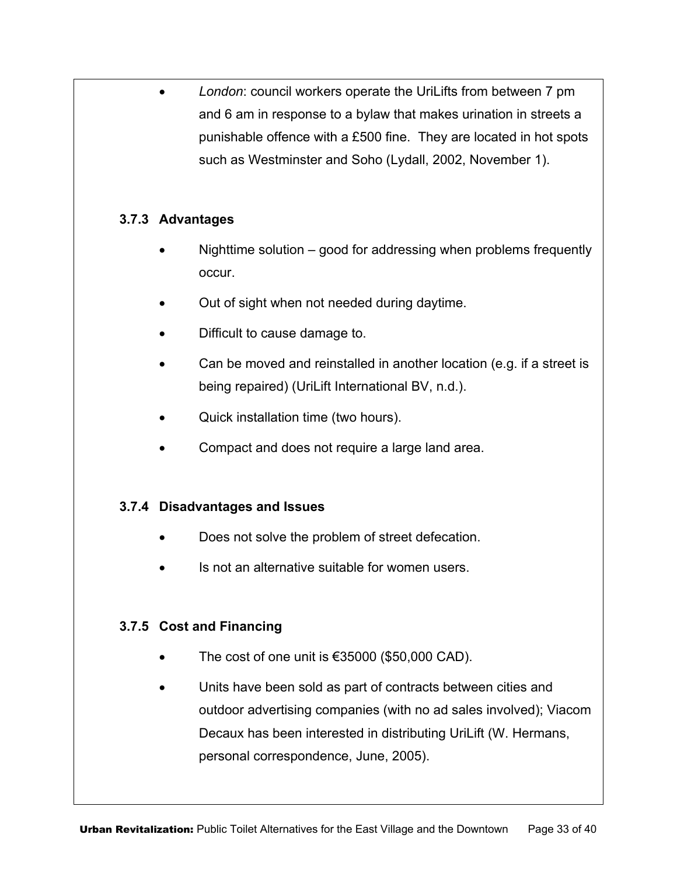• *London*: council workers operate the UriLifts from between 7 pm and 6 am in response to a bylaw that makes urination in streets a punishable offence with a £500 fine. They are located in hot spots such as Westminster and Soho (Lydall, 2002, November 1).

#### **3.7.3 Advantages**

- Nighttime solution good for addressing when problems frequently occur.
- Out of sight when not needed during daytime.
- Difficult to cause damage to.
- Can be moved and reinstalled in another location (e.g. if a street is being repaired) (UriLift International BV, n.d.).
- Quick installation time (two hours).
- Compact and does not require a large land area.

#### **3.7.4 Disadvantages and Issues**

- Does not solve the problem of street defecation.
- Is not an alternative suitable for women users.

#### **3.7.5 Cost and Financing**

- The cost of one unit is  $€35000$   $($50,000$  CAD).
- Units have been sold as part of contracts between cities and outdoor advertising companies (with no ad sales involved); Viacom Decaux has been interested in distributing UriLift (W. Hermans, personal correspondence, June, 2005).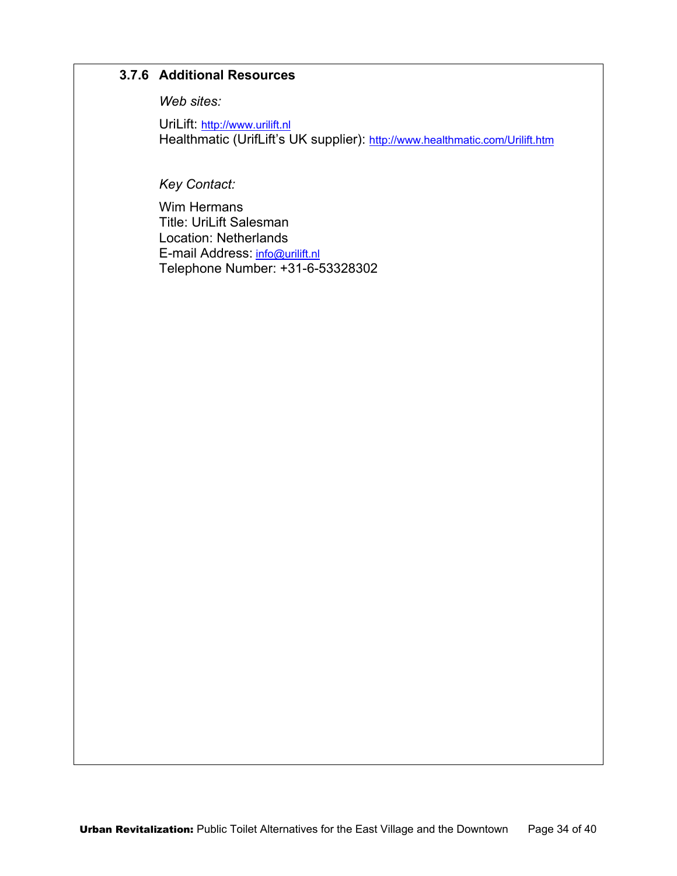#### **3.7.6 Additional Resources**

*Web sites:* 

UriLift: http://www.urilift.nl Healthmatic (UrifLift's UK supplier): http://www.healthmatic.com/Urilift.htm

*Key Contact:* 

Wim Hermans Title: UriLift Salesman Location: Netherlands E-mail Address: info@urilift.nl Telephone Number: +31-6-53328302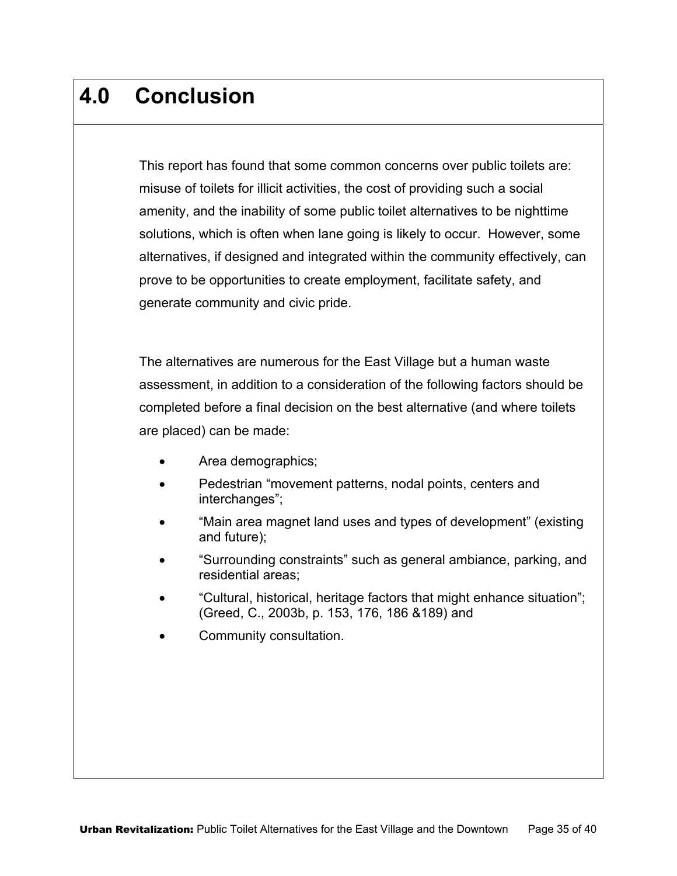# **4.0 Conclusion**

This report has found that some common concerns over public toilets are: misuse of toilets for illicit activities, the cost of providing such a social amenity, and the inability of some public toilet alternatives to be nighttime solutions, which is often when lane going is likely to occur. However, some alternatives, if designed and integrated within the community effectively, can prove to be opportunities to create employment, facilitate safety, and generate community and civic pride.

The alternatives are numerous for the East Village but a human waste assessment, in addition to a consideration of the following factors should be completed before a final decision on the best alternative (and where toilets are placed) can be made:

- Area demographics;
- Pedestrian "movement patterns, nodal points, centers and interchanges";
- "Main area magnet land uses and types of development" (existing and future);
- "Surrounding constraints" such as general ambiance, parking, and residential areas;
- "Cultural, historical, heritage factors that might enhance situation"; (Greed, C., 2003b, p. 153, 176, 186 &189) and
- Community consultation.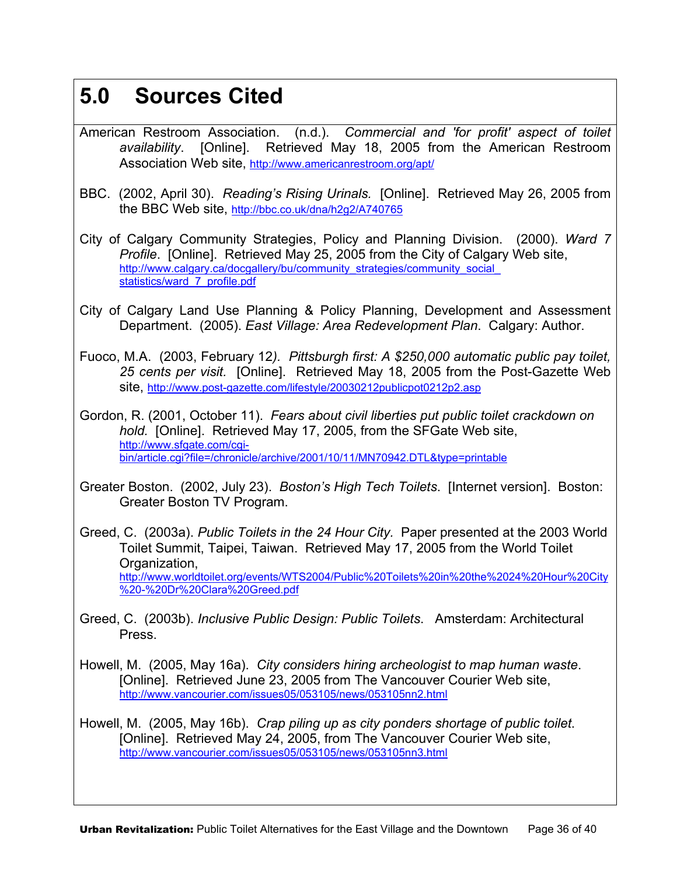# **5.0 Sources Cited**

- American Restroom Association. (n.d.). *Commercial and 'for profit' aspect of toilet availability*. [Online]. Retrieved May 18, 2005 from the American Restroom Association Web site, http://www.americanrestroom.org/apt/
- BBC. (2002, April 30). *Reading's Rising Urinals.* [Online]. Retrieved May 26, 2005 from the BBC Web site, http://bbc.co.uk/dna/h2g2/A740765
- City of Calgary Community Strategies, Policy and Planning Division. (2000). *Ward 7 Profile*. [Online]. Retrieved May 25, 2005 from the City of Calgary Web site, http://www.calgary.ca/docgallery/bu/community\_strategies/community\_social statistics/ward\_7\_profile.pdf
- City of Calgary Land Use Planning & Policy Planning, Development and Assessment Department. (2005). *East Village: Area Redevelopment Plan*. Calgary: Author.
- Fuoco, M.A. (2003, February 12*). Pittsburgh first: A \$250,000 automatic public pay toilet, 25 cents per visit.* [Online]. Retrieved May 18, 2005 from the Post-Gazette Web site, http://www.post-gazette.com/lifestyle/20030212publicpot0212p2.asp
- Gordon, R. (2001, October 11). *Fears about civil liberties put public toilet crackdown on hold.* [Online]. Retrieved May 17, 2005, from the SFGate Web site, http://www.sfgate.com/cgibin/article.cgi?file=/chronicle/archive/2001/10/11/MN70942.DTL&type=printable
- Greater Boston. (2002, July 23). *Boston's High Tech Toilets*. [Internet version]. Boston: Greater Boston TV Program.
- Greed, C. (2003a). *Public Toilets in the 24 Hour City.* Paper presented at the 2003 World Toilet Summit, Taipei, Taiwan. Retrieved May 17, 2005 from the World Toilet Organization, http://www.worldtoilet.org/events/WTS2004/Public%20Toilets%20in%20the%2024%20Hour%20City %20-%20Dr%20Clara%20Greed.pdf
- Greed, C. (2003b). *Inclusive Public Design: Public Toilets*. Amsterdam: Architectural Press.
- Howell, M. (2005, May 16a). *City considers hiring archeologist to map human waste*. [Online]. Retrieved June 23, 2005 from The Vancouver Courier Web site, http://www.vancourier.com/issues05/053105/news/053105nn2.html
- Howell, M. (2005, May 16b). *Crap piling up as city ponders shortage of public toilet*. [Online]. Retrieved May 24, 2005, from The Vancouver Courier Web site, http://www.vancourier.com/issues05/053105/news/053105nn3.html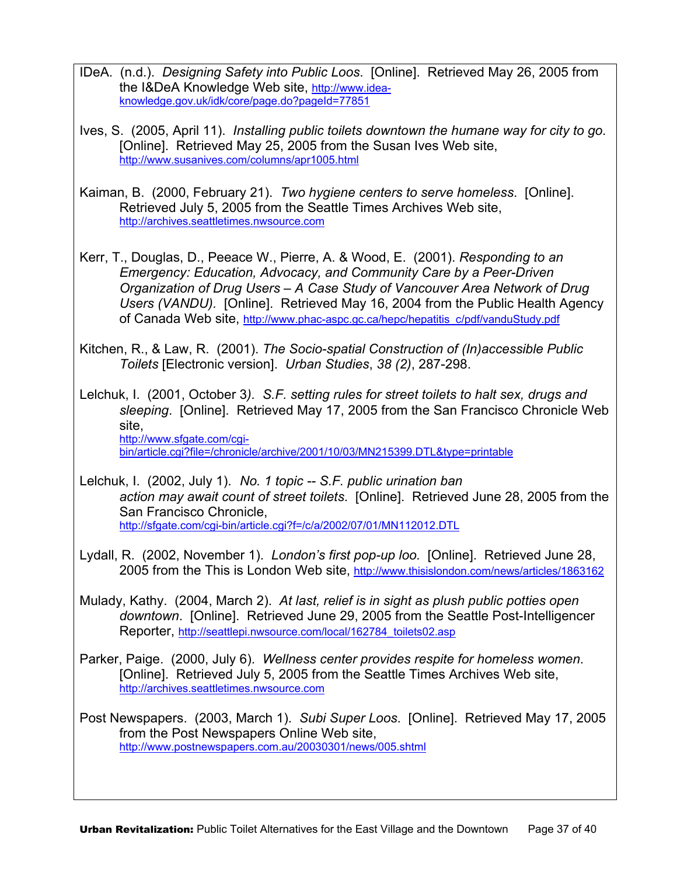- IDeA. (n.d.). *Designing Safety into Public Loos*. [Online]. Retrieved May 26, 2005 from the I&DeA Knowledge Web site, http://www.ideaknowledge.gov.uk/idk/core/page.do?pageId=77851
- Ives, S. (2005, April 11). *Installing public toilets downtown the humane way for city to go*. [Online]. Retrieved May 25, 2005 from the Susan Ives Web site, http://www.susanives.com/columns/apr1005.html
- Kaiman, B. (2000, February 21). *Two hygiene centers to serve homeless*. [Online]. Retrieved July 5, 2005 from the Seattle Times Archives Web site, http://archives.seattletimes.nwsource.com
- Kerr, T., Douglas, D., Peeace W., Pierre, A. & Wood, E. (2001). *Responding to an Emergency: Education, Advocacy, and Community Care by a Peer-Driven Organization of Drug Users – A Case Study of Vancouver Area Network of Drug Users (VANDU).* [Online]. Retrieved May 16, 2004 from the Public Health Agency of Canada Web site, http://www.phac-aspc.gc.ca/hepc/hepatitis\_c/pdf/vanduStudy.pdf
- Kitchen, R., & Law, R. (2001). *The Socio-spatial Construction of (In)accessible Public Toilets* [Electronic version]. *Urban Studies*, *38 (2)*, 287-298.

Lelchuk, I. (2001, October 3*). S.F. setting rules for street toilets to halt sex, drugs and sleeping*. [Online]. Retrieved May 17, 2005 from the San Francisco Chronicle Web site, http://www.sfgate.com/cgibin/article.cgi?file=/chronicle/archive/2001/10/03/MN215399.DTL&type=printable

Lelchuk, I. (2002, July 1). *No. 1 topic -- S.F. public urination ban action may await count of street toilets*. [Online]. Retrieved June 28, 2005 from the San Francisco Chronicle, http://sfgate.com/cgi-bin/article.cgi?f=/c/a/2002/07/01/MN112012.DTL

- Lydall, R. (2002, November 1). *London's first pop-up loo.* [Online]. Retrieved June 28, 2005 from the This is London Web site, http://www.thisislondon.com/news/articles/1863162
- Mulady, Kathy. (2004, March 2). *At last, relief is in sight as plush public potties open downtown*. [Online]. Retrieved June 29, 2005 from the Seattle Post-Intelligencer Reporter, http://seattlepi.nwsource.com/local/162784\_toilets02.asp
- Parker, Paige. (2000, July 6). *Wellness center provides respite for homeless women*. [Online]. Retrieved July 5, 2005 from the Seattle Times Archives Web site, http://archives.seattletimes.nwsource.com

Post Newspapers. (2003, March 1). *Subi Super Loos*. [Online]. Retrieved May 17, 2005 from the Post Newspapers Online Web site, http://www.postnewspapers.com.au/20030301/news/005.shtml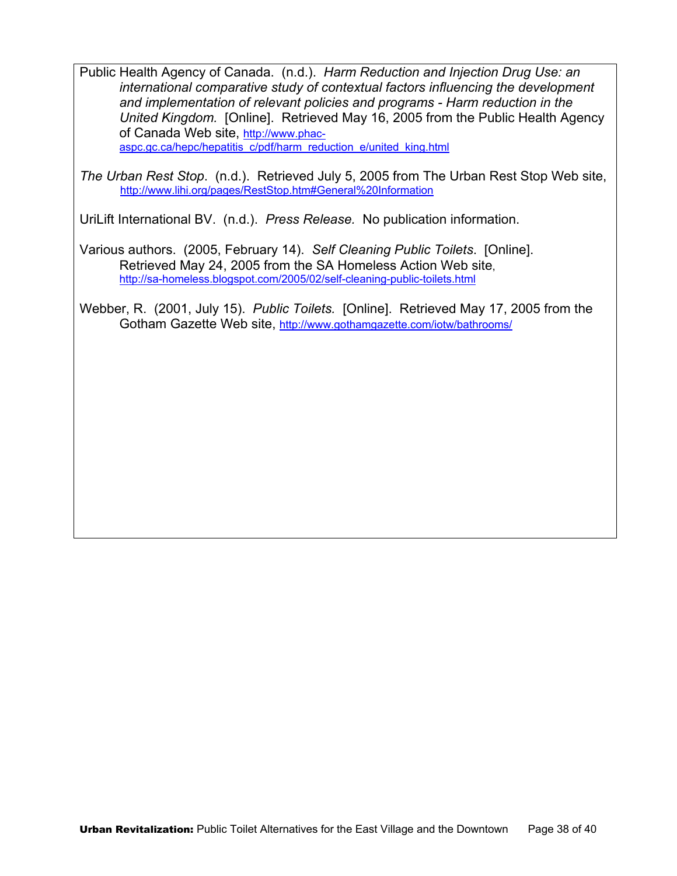Public Health Agency of Canada. (n.d.). *Harm Reduction and Injection Drug Use: an international comparative study of contextual factors influencing the development and implementation of relevant policies and programs - Harm reduction in the United Kingdom.* [Online]. Retrieved May 16, 2005 from the Public Health Agency of Canada Web site, http://www.phacaspc.gc.ca/hepc/hepatitis\_c/pdf/harm\_reduction\_e/united\_king.html

*The Urban Rest Stop.* (n.d.). Retrieved July 5, 2005 from The Urban Rest Stop Web site, http://www.lihi.org/pages/RestStop.htm#General%20Information

UriLift International BV. (n.d.). *Press Release.* No publication information.

Various authors. (2005, February 14). *Self Cleaning Public Toilets*. [Online]. Retrieved May 24, 2005 from the SA Homeless Action Web site, http://sa-homeless.blogspot.com/2005/02/self-cleaning-public-toilets.html

Webber, R. (2001, July 15). *Public Toilets.* [Online]. Retrieved May 17, 2005 from the Gotham Gazette Web site, http://www.gothamgazette.com/iotw/bathrooms/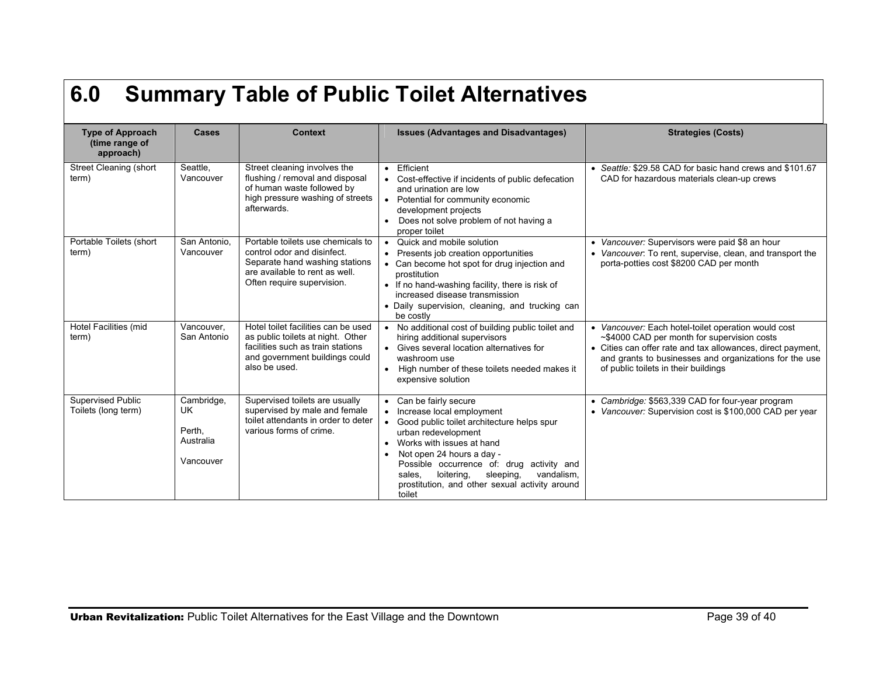# **6.0 Summary Table of Public Toilet Alternatives**

| <b>Type of Approach</b><br>(time range of<br>approach) | <b>Cases</b>                                         | <b>Context</b>                                                                                                                                                     | <b>Issues (Advantages and Disadvantages)</b>                                                                                                                                                                                                                                                                                                                | <b>Strategies (Costs)</b>                                                                                                                                                                                                                                           |
|--------------------------------------------------------|------------------------------------------------------|--------------------------------------------------------------------------------------------------------------------------------------------------------------------|-------------------------------------------------------------------------------------------------------------------------------------------------------------------------------------------------------------------------------------------------------------------------------------------------------------------------------------------------------------|---------------------------------------------------------------------------------------------------------------------------------------------------------------------------------------------------------------------------------------------------------------------|
| Street Cleaning (short<br>term)                        | Seattle,<br>Vancouver                                | Street cleaning involves the<br>flushing / removal and disposal<br>of human waste followed by<br>high pressure washing of streets<br>afterwards.                   | Efficient<br>$\bullet$<br>Cost-effective if incidents of public defecation<br>and urination are low<br>Potential for community economic<br>development projects<br>Does not solve problem of not having a<br>proper toilet                                                                                                                                  | • Seattle: \$29.58 CAD for basic hand crews and \$101.67<br>CAD for hazardous materials clean-up crews                                                                                                                                                              |
| Portable Toilets (short<br>term)                       | San Antonio,<br>Vancouver                            | Portable toilets use chemicals to<br>control odor and disinfect.<br>Separate hand washing stations<br>are available to rent as well.<br>Often require supervision. | Quick and mobile solution<br>$\bullet$<br>• Presents job creation opportunities<br>• Can become hot spot for drug injection and<br>prostitution<br>• If no hand-washing facility, there is risk of<br>increased disease transmission<br>• Daily supervision, cleaning, and trucking can<br>be costly                                                        | • Vancouver: Supervisors were paid \$8 an hour<br>• Vancouver: To rent, supervise, clean, and transport the<br>porta-potties cost \$8200 CAD per month                                                                                                              |
| Hotel Facilities (mid<br>term)                         | Vancouver,<br>San Antonio                            | Hotel toilet facilities can be used<br>as public toilets at night. Other<br>facilities such as train stations<br>and government buildings could<br>also be used.   | • No additional cost of building public toilet and<br>hiring additional supervisors<br>• Gives several location alternatives for<br>washroom use<br>High number of these toilets needed makes it<br>$\bullet$<br>expensive solution                                                                                                                         | • Vancouver: Each hotel-toilet operation would cost<br>~\$4000 CAD per month for supervision costs<br>• Cities can offer rate and tax allowances, direct payment,<br>and grants to businesses and organizations for the use<br>of public toilets in their buildings |
| <b>Supervised Public</b><br>Toilets (long term)        | Cambridge,<br>UK<br>Perth.<br>Australia<br>Vancouver | Supervised toilets are usually<br>supervised by male and female<br>toilet attendants in order to deter<br>various forms of crime.                                  | Can be fairly secure<br>Increase local employment<br>• Good public toilet architecture helps spur<br>urban redevelopment<br>Works with issues at hand<br>$\bullet$<br>Not open 24 hours a day -<br>Possible occurrence of: drug activity and<br>loitering,<br>sleeping,<br>vandalism.<br>sales.<br>prostitution, and other sexual activity around<br>toilet | • Cambridge: \$563,339 CAD for four-year program<br>• Vancouver: Supervision cost is \$100,000 CAD per year                                                                                                                                                         |